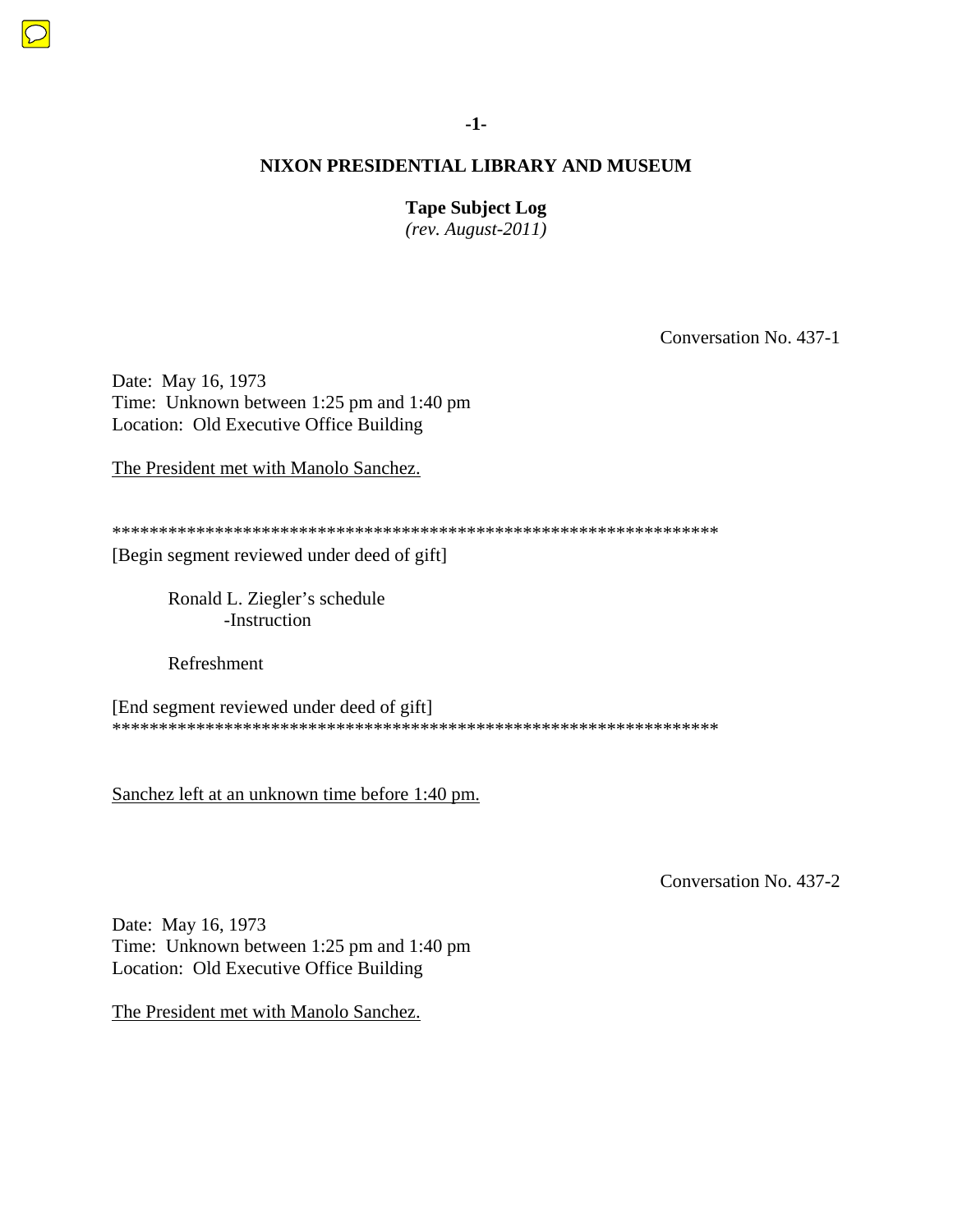### **Tape Subject Log**

*(rev. August-2011)* 

Conversation No. 437-1

Date: May 16, 1973 Time: Unknown between 1:25 pm and 1:40 pm Location: Old Executive Office Building

The President met with Manolo Sanchez.

\*\*\*\*\*\*\*\*\*\*\*\*\*\*\*\*\*\*\*\*\*\*\*\*\*\*\*\*\*\*\*\*\*\*\*\*\*\*\*\*\*\*\*\*\*\*\*\*\*\*\*\*\*\*\*\*\*\*\*\*\*\*\*\*\*

[Begin segment reviewed under deed of gift]

Ronald L. Ziegler's schedule -Instruction

Refreshment

[End segment reviewed under deed of gift] \*\*\*\*\*\*\*\*\*\*\*\*\*\*\*\*\*\*\*\*\*\*\*\*\*\*\*\*\*\*\*\*\*\*\*\*\*\*\*\*\*\*\*\*\*\*\*\*\*\*\*\*\*\*\*\*\*\*\*\*\*\*\*\*\*

Sanchez left at an unknown time before 1:40 pm.

Conversation No. 437-2

Date: May 16, 1973 Time: Unknown between 1:25 pm and 1:40 pm Location: Old Executive Office Building

The President met with Manolo Sanchez.

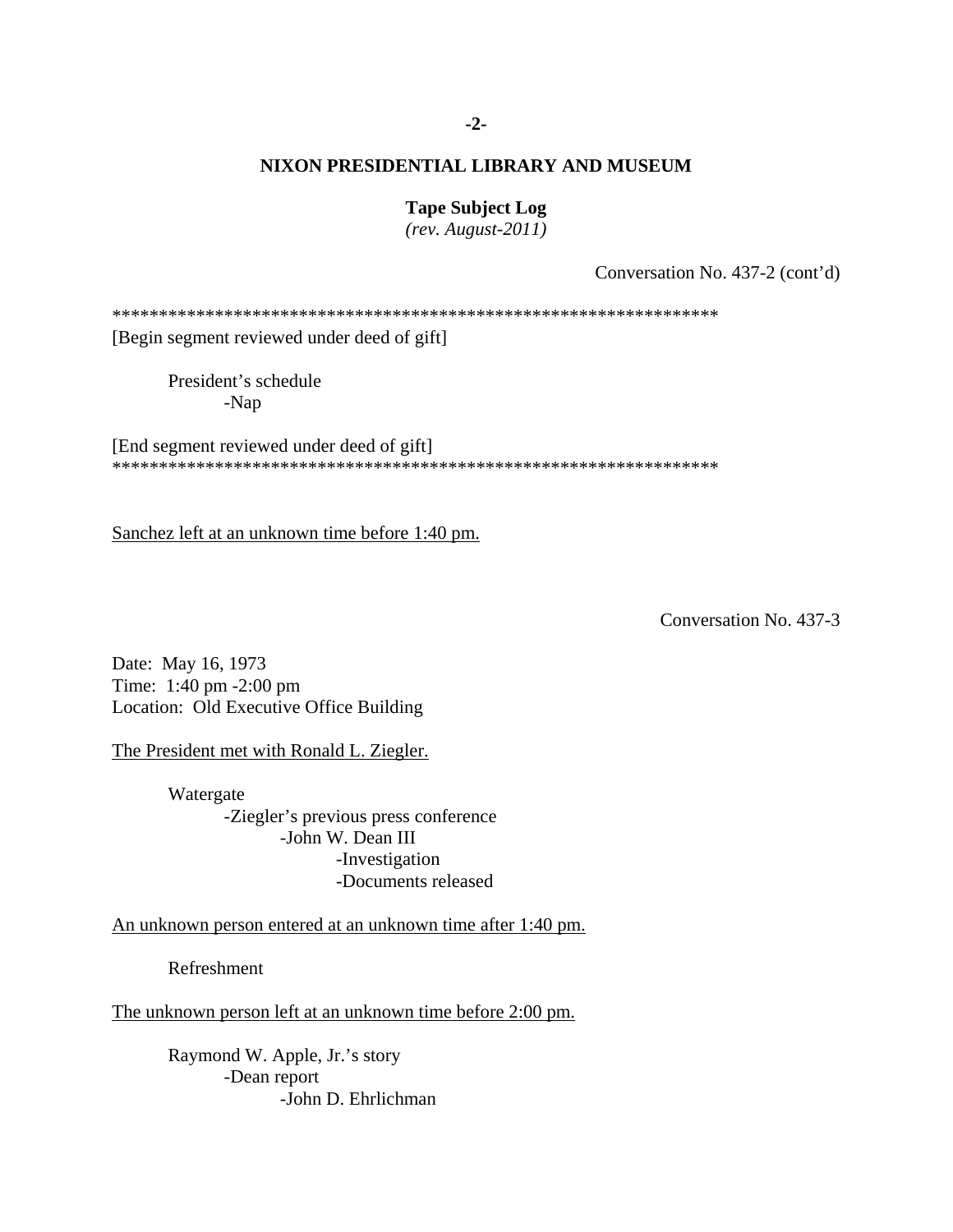#### **-2-**

### **NIXON PRESIDENTIAL LIBRARY AND MUSEUM**

#### **Tape Subject Log**

*(rev. August-2011)* 

Conversation No. 437-2 (cont'd)

\*\*\*\*\*\*\*\*\*\*\*\*\*\*\*\*\*\*\*\*\*\*\*\*\*\*\*\*\*\*\*\*\*\*\*\*\*\*\*\*\*\*\*\*\*\*\*\*\*\*\*\*\*\*\*\*\*\*\*\*\*\*\*\*\*

[Begin segment reviewed under deed of gift]

 President's schedule -Nap

[End segment reviewed under deed of gift] \*\*\*\*\*\*\*\*\*\*\*\*\*\*\*\*\*\*\*\*\*\*\*\*\*\*\*\*\*\*\*\*\*\*\*\*\*\*\*\*\*\*\*\*\*\*\*\*\*\*\*\*\*\*\*\*\*\*\*\*\*\*\*\*\*

Sanchez left at an unknown time before 1:40 pm.

Conversation No. 437-3

Date: May 16, 1973 Time: 1:40 pm -2:00 pm Location: Old Executive Office Building

The President met with Ronald L. Ziegler.

 Watergate -Ziegler's previous press conference -John W. Dean III -Investigation -Documents released

An unknown person entered at an unknown time after 1:40 pm.

Refreshment

The unknown person left at an unknown time before 2:00 pm.

Raymond W. Apple, Jr.'s story -Dean report -John D. Ehrlichman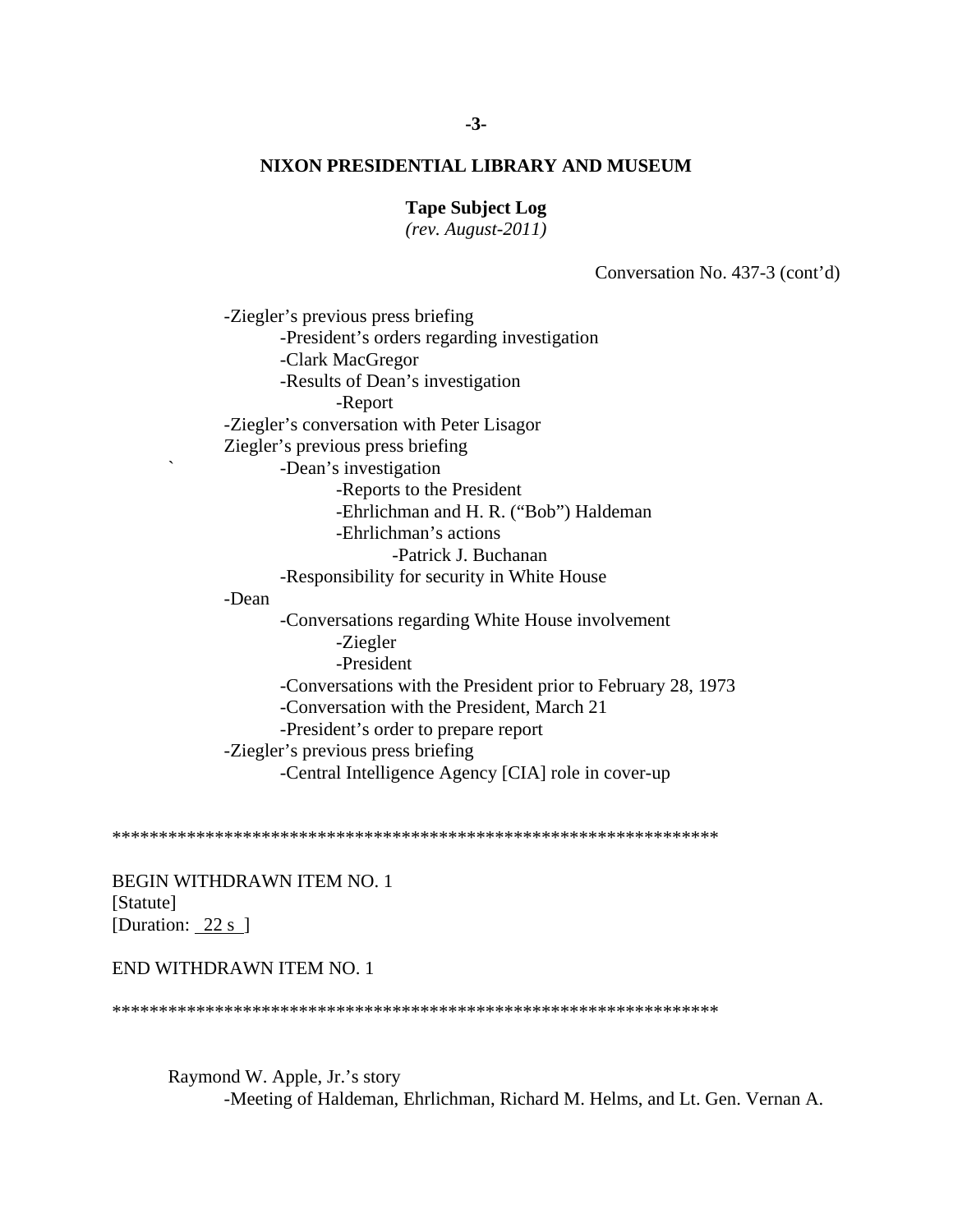**Tape Subject Log** 

 $(rev. August-2011)$ 

Conversation No. 437-3 (cont'd)

-Ziegler's previous press briefing -President's orders regarding investigation -Clark MacGregor -Results of Dean's investigation -Report -Ziegler's conversation with Peter Lisagor Ziegler's previous press briefing -Dean's investigation -Reports to the President -Ehrlichman and H. R. ("Bob") Haldeman -Ehrlichman's actions -Patrick J. Buchanan -Responsibility for security in White House -Dean -Conversations regarding White House involvement -Ziegler -President -Conversations with the President prior to February 28, 1973 -Conversation with the President, March 21 -President's order to prepare report -Ziegler's previous press briefing -Central Intelligence Agency [CIA] role in cover-up

BEGIN WITHDRAWN ITEM NO. 1 [Statute] [Duration:  $22 s$ ]

#### END WITHDRAWN ITEM NO. 1

Raymond W. Apple, Jr.'s story -Meeting of Haldeman, Ehrlichman, Richard M. Helms, and Lt. Gen. Vernan A.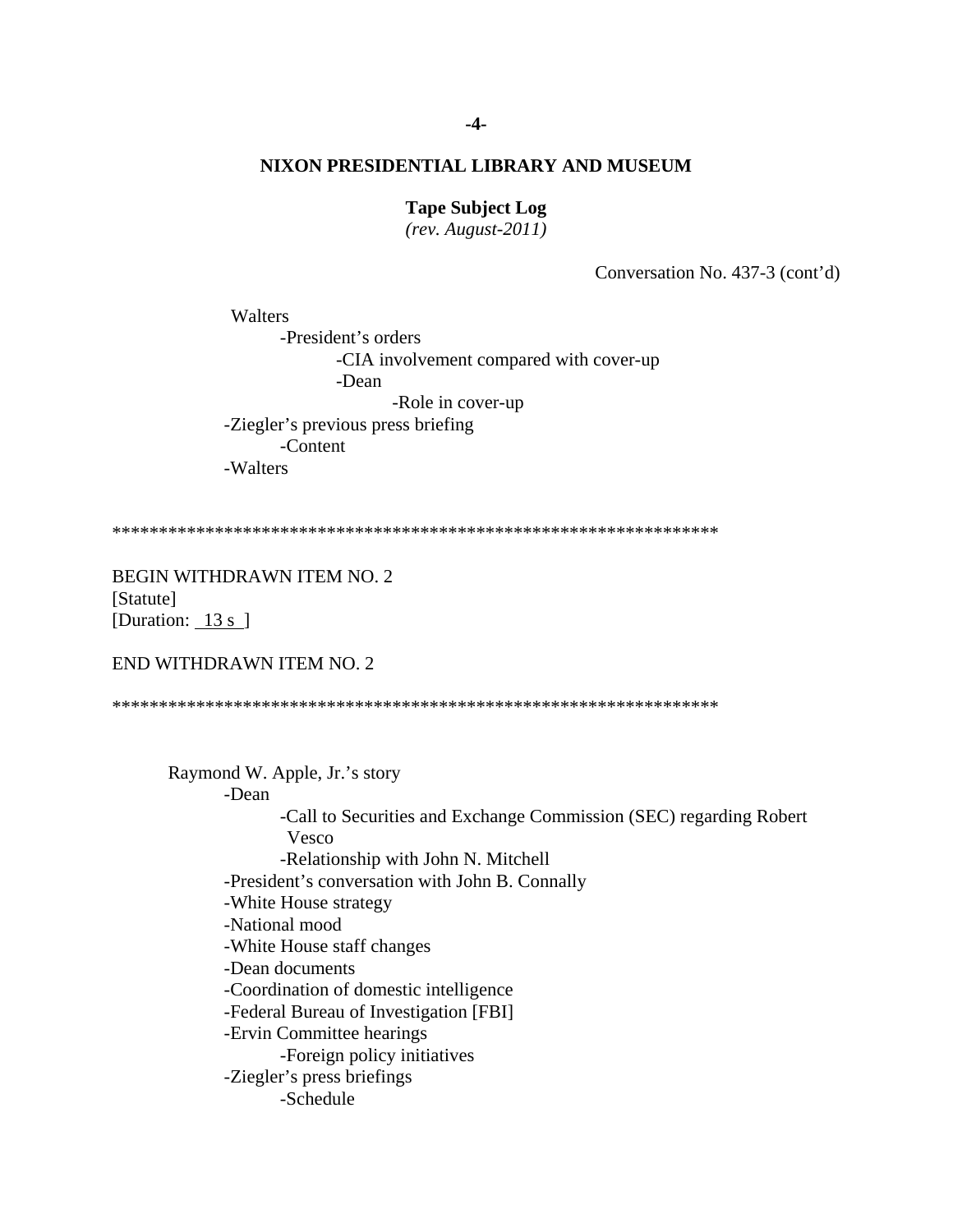# **Tape Subject Log**

 $(rev. August-2011)$ 

Conversation No. 437-3 (cont'd)

Walters -President's orders -CIA involvement compared with cover-up -Dean -Role in cover-up -Ziegler's previous press briefing -Content -Walters

**BEGIN WITHDRAWN ITEM NO. 2** [Statute] [Duration:  $13 s$ ]

END WITHDRAWN ITEM NO. 2

Raymond W. Apple, Jr.'s story

-Dean

-Call to Securities and Exchange Commission (SEC) regarding Robert **Vesco** 

-Relationship with John N. Mitchell

-President's conversation with John B. Connally

-White House strategy

-National mood

-White House staff changes

-Dean documents

-Coordination of domestic intelligence

-Federal Bureau of Investigation [FBI]

-Ervin Committee hearings

-Foreign policy initiatives

-Ziegler's press briefings

-Schedule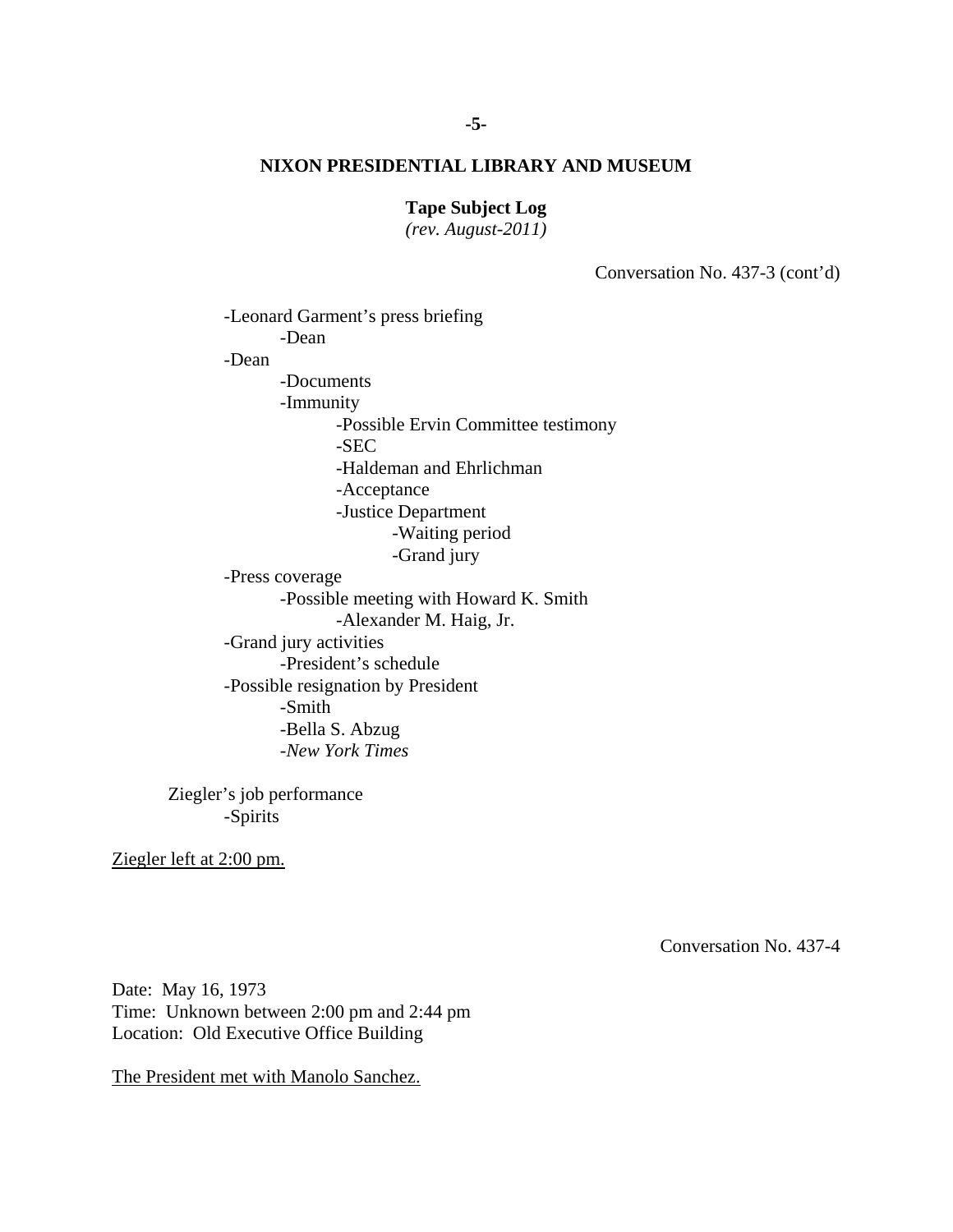**Tape Subject Log** 

*(rev. August-2011)* 

Conversation No. 437-3 (cont'd)

-Leonard Garment's press briefing -Dean -Dean -Documents -Immunity -Possible Ervin Committee testimony -SEC -Haldeman and Ehrlichman -Acceptance -Justice Department -Waiting period -Grand jury -Press coverage -Possible meeting with Howard K. Smith -Alexander M. Haig, Jr. -Grand jury activities -President's schedule -Possible resignation by President -Smith -Bella S. Abzug -*New York Times*

Ziegler's job performance -Spirits

Ziegler left at 2:00 pm.

Conversation No. 437-4

Date: May 16, 1973 Time: Unknown between 2:00 pm and 2:44 pm Location: Old Executive Office Building

The President met with Manolo Sanchez.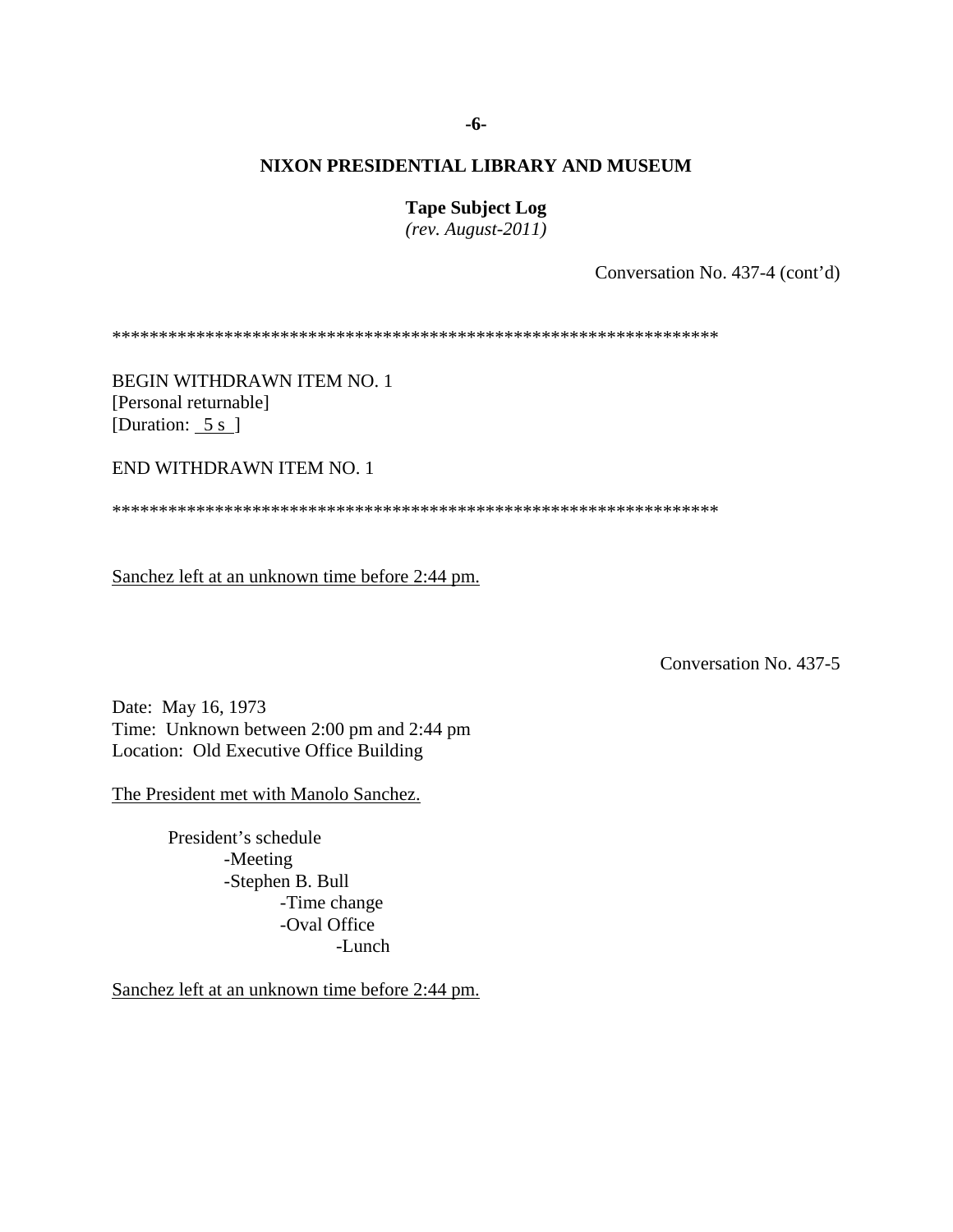#### **-6-**

# **NIXON PRESIDENTIAL LIBRARY AND MUSEUM**

**Tape Subject Log** 

*(rev. August-2011)* 

Conversation No. 437-4 (cont'd)

\*\*\*\*\*\*\*\*\*\*\*\*\*\*\*\*\*\*\*\*\*\*\*\*\*\*\*\*\*\*\*\*\*\*\*\*\*\*\*\*\*\*\*\*\*\*\*\*\*\*\*\*\*\*\*\*\*\*\*\*\*\*\*\*\*

BEGIN WITHDRAWN ITEM NO. 1 [Personal returnable] [Duration: 5 s ]

END WITHDRAWN ITEM NO. 1

\*\*\*\*\*\*\*\*\*\*\*\*\*\*\*\*\*\*\*\*\*\*\*\*\*\*\*\*\*\*\*\*\*\*\*\*\*\*\*\*\*\*\*\*\*\*\*\*\*\*\*\*\*\*\*\*\*\*\*\*\*\*\*\*\*

Sanchez left at an unknown time before 2:44 pm.

Conversation No. 437-5

Date: May 16, 1973 Time: Unknown between 2:00 pm and 2:44 pm Location: Old Executive Office Building

The President met with Manolo Sanchez.

 -Oval Office President's schedule -Meeting -Stephen B. Bull -Time change -Lunch

Sanchez left at an unknown time before 2:44 pm.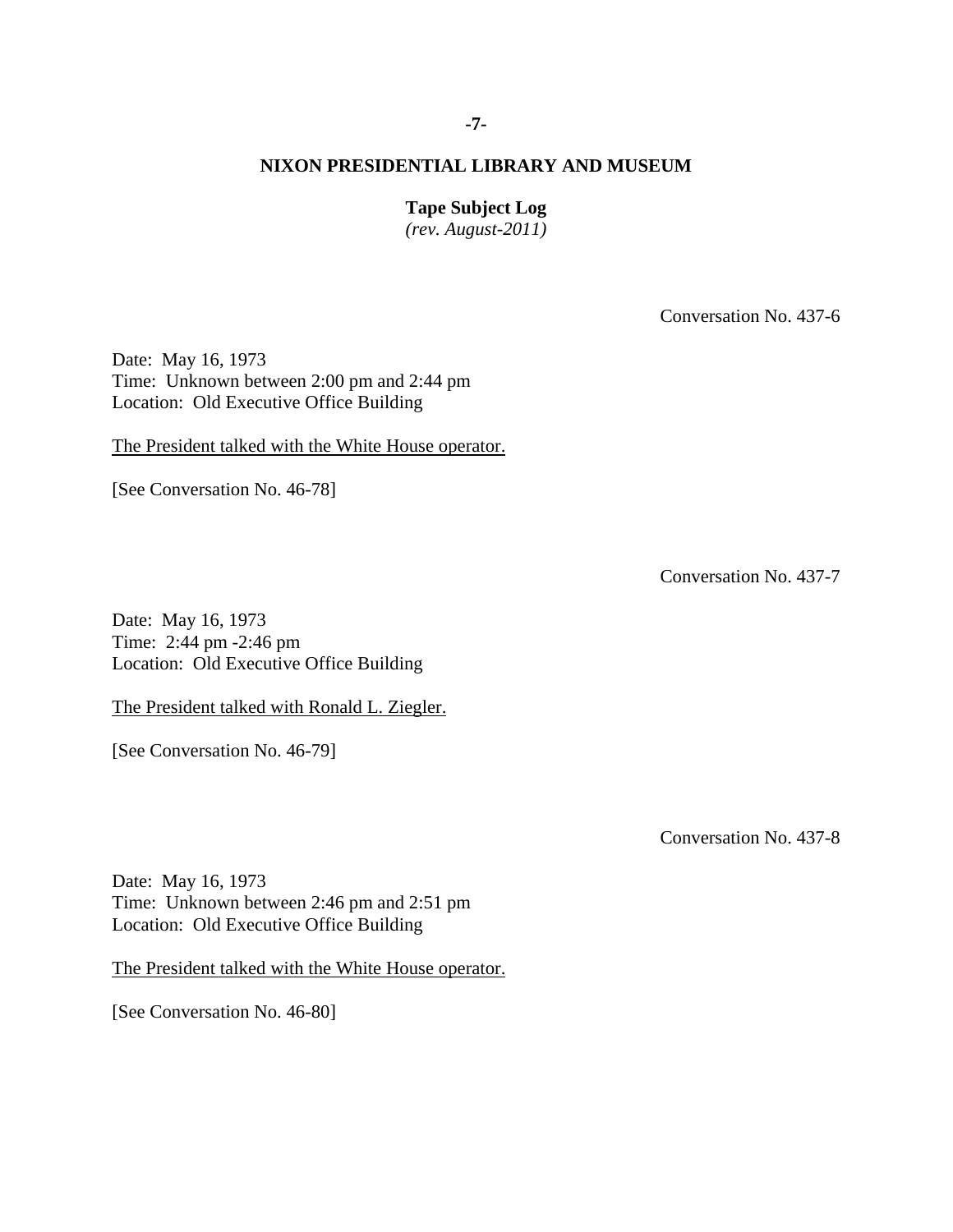# **Tape Subject Log**

*(rev. August-2011)* 

Conversation No. 437-6

Date: May 16, 1973 Time: Unknown between 2:00 pm and 2:44 pm Location: Old Executive Office Building

The President talked with the White House operator.

[See Conversation No. 46-78]

Conversation No. 437-7

Date: May 16, 1973 Time: 2:44 pm -2:46 pm Location: Old Executive Office Building

The President talked with Ronald L. Ziegler.

[See Conversation No. 46-79]

Conversation No. 437-8

Date: May 16, 1973 Time: Unknown between 2:46 pm and 2:51 pm Location: Old Executive Office Building

The President talked with the White House operator.

[See Conversation No. 46-80]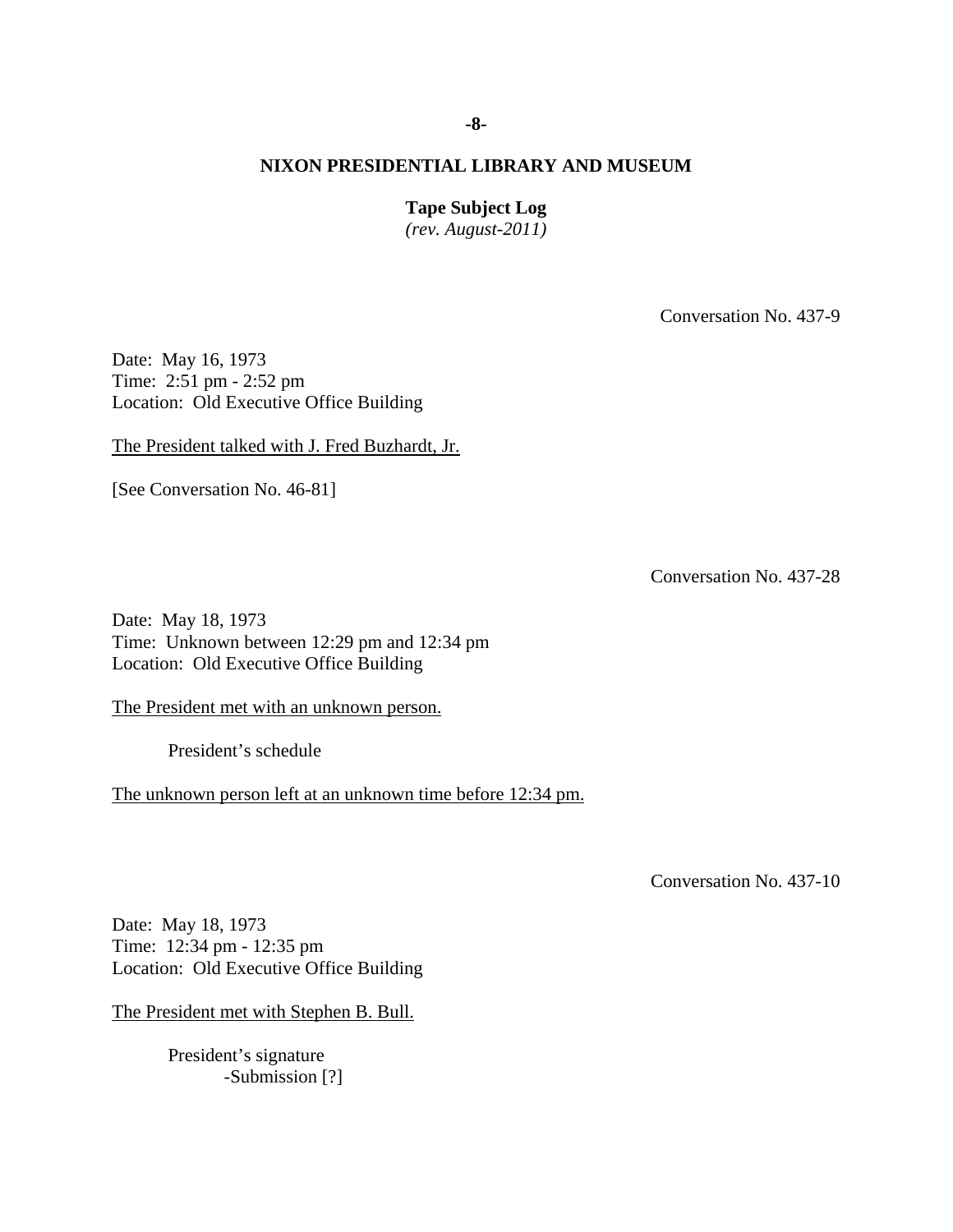**Tape Subject Log** 

*(rev. August-2011)* 

Conversation No. 437-9

Date: May 16, 1973 Time: 2:51 pm - 2:52 pm Location: Old Executive Office Building

The President talked with J. Fred Buzhardt, Jr.

[See Conversation No. 46-81]

Conversation No. 437-28

Date: May 18, 1973 Time: Unknown between 12:29 pm and 12:34 pm Location: Old Executive Office Building

The President met with an unknown person.

President's schedule

The unknown person left at an unknown time before 12:34 pm.

Conversation No. 437-10

Date: May 18, 1973 Time: 12:34 pm - 12:35 pm Location: Old Executive Office Building

The President met with Stephen B. Bull.

 President's signature -Submission [?]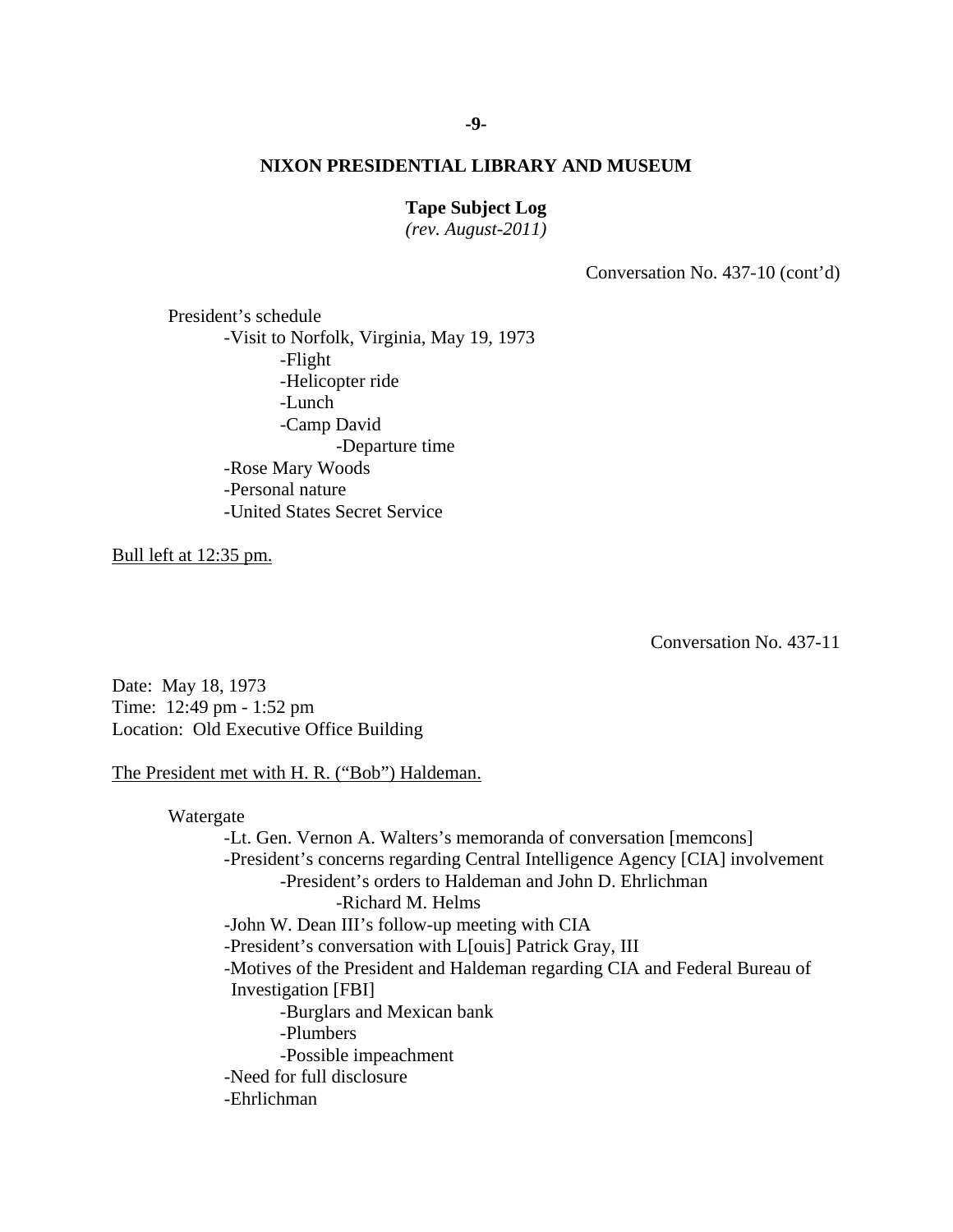# **Tape Subject Log**

*(rev. August-2011)* 

Conversation No. 437-10 (cont'd)

 President's schedule -Visit to Norfolk, Virginia, May 19, 1973 -Flight -Helicopter ride -Lunch -Camp David -Departure time -Rose Mary Woods -Personal nature -United States Secret Service

Bull left at 12:35 pm.

Conversation No. 437-11

Date: May 18, 1973 Time: 12:49 pm - 1:52 pm Location: Old Executive Office Building

## The President met with H. R. ("Bob") Haldeman.

 -Richard M. Helms Watergate -Lt. Gen. Vernon A. Walters's memoranda of conversation [memcons] -President's concerns regarding Central Intelligence Agency [CIA] involvement -President's orders to Haldeman and John D. Ehrlichman -John W. Dean III's follow-up meeting with CIA -President's conversation with L[ouis] Patrick Gray, III -Motives of the President and Haldeman regarding CIA and Federal Bureau of Investigation [FBI] -Burglars and Mexican bank -Plumbers -Possible impeachment -Need for full disclosure -Ehrlichman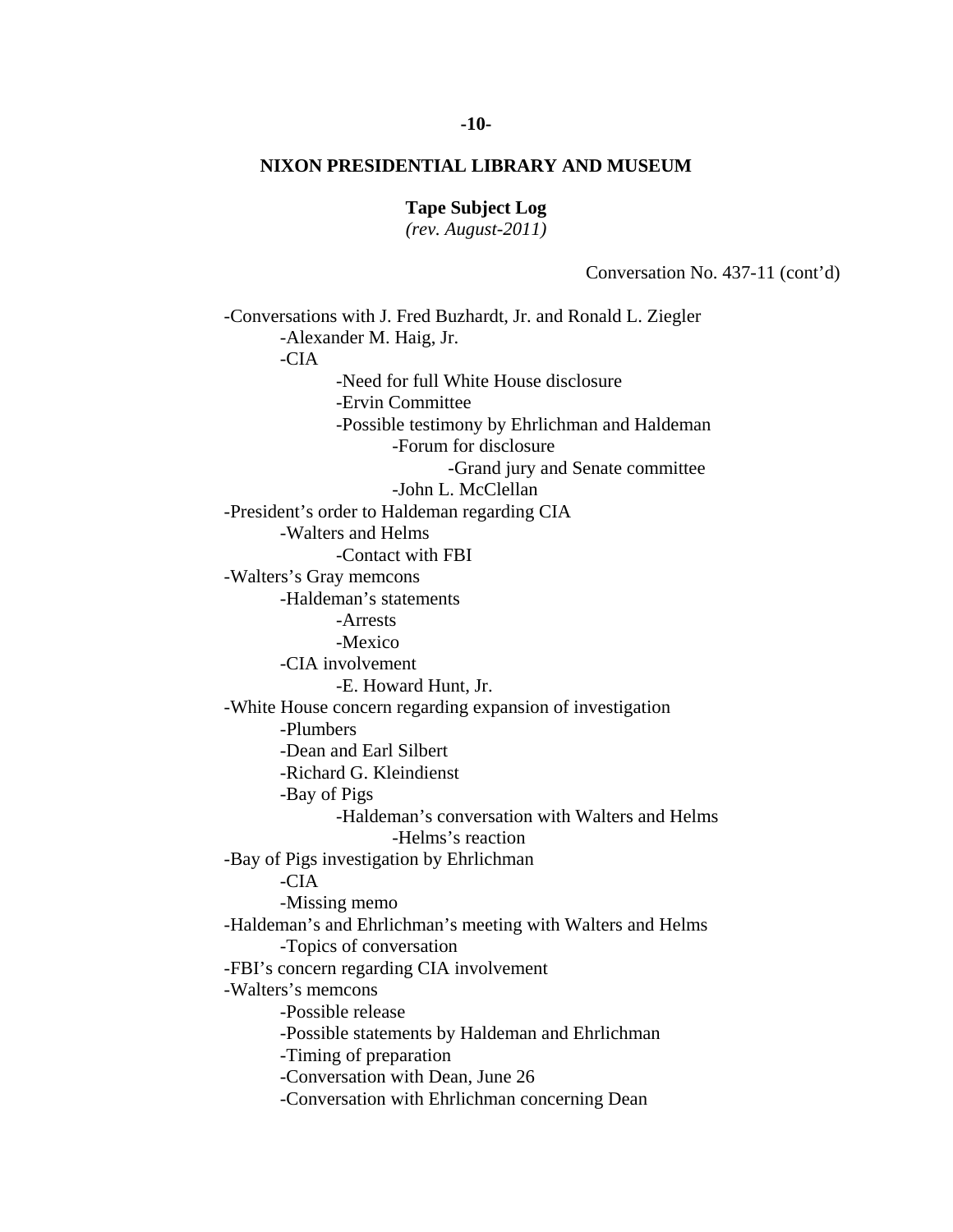#### **Tape Subject Log**

*(rev. August-2011)* 

Conversation No. 437-11 (cont'd)

 -Helms's reaction -Missing memo -Conversations with J. Fred Buzhardt, Jr. and Ronald L. Ziegler -Alexander M. Haig, Jr. -CIA -Need for full White House disclosure -Ervin Committee -Possible testimony by Ehrlichman and Haldeman -Forum for disclosure -Grand jury and Senate committee -John L. McClellan -President's order to Haldeman regarding CIA -Walters and Helms -Contact with FBI -Walters's Gray memcons -Haldeman's statements -Arrests -Mexico -CIA involvement -E. Howard Hunt, Jr. -White House concern regarding expansion of investigation -Plumbers -Dean and Earl Silbert -Richard G. Kleindienst -Bay of Pigs -Haldeman's conversation with Walters and Helms -Bay of Pigs investigation by Ehrlichman -CIA -Haldeman's and Ehrlichman's meeting with Walters and Helms -Topics of conversation -FBI's concern regarding CIA involvement -Walters's memcons -Possible release -Possible statements by Haldeman and Ehrlichman -Timing of preparation -Conversation with Dean, June 26 -Conversation with Ehrlichman concerning Dean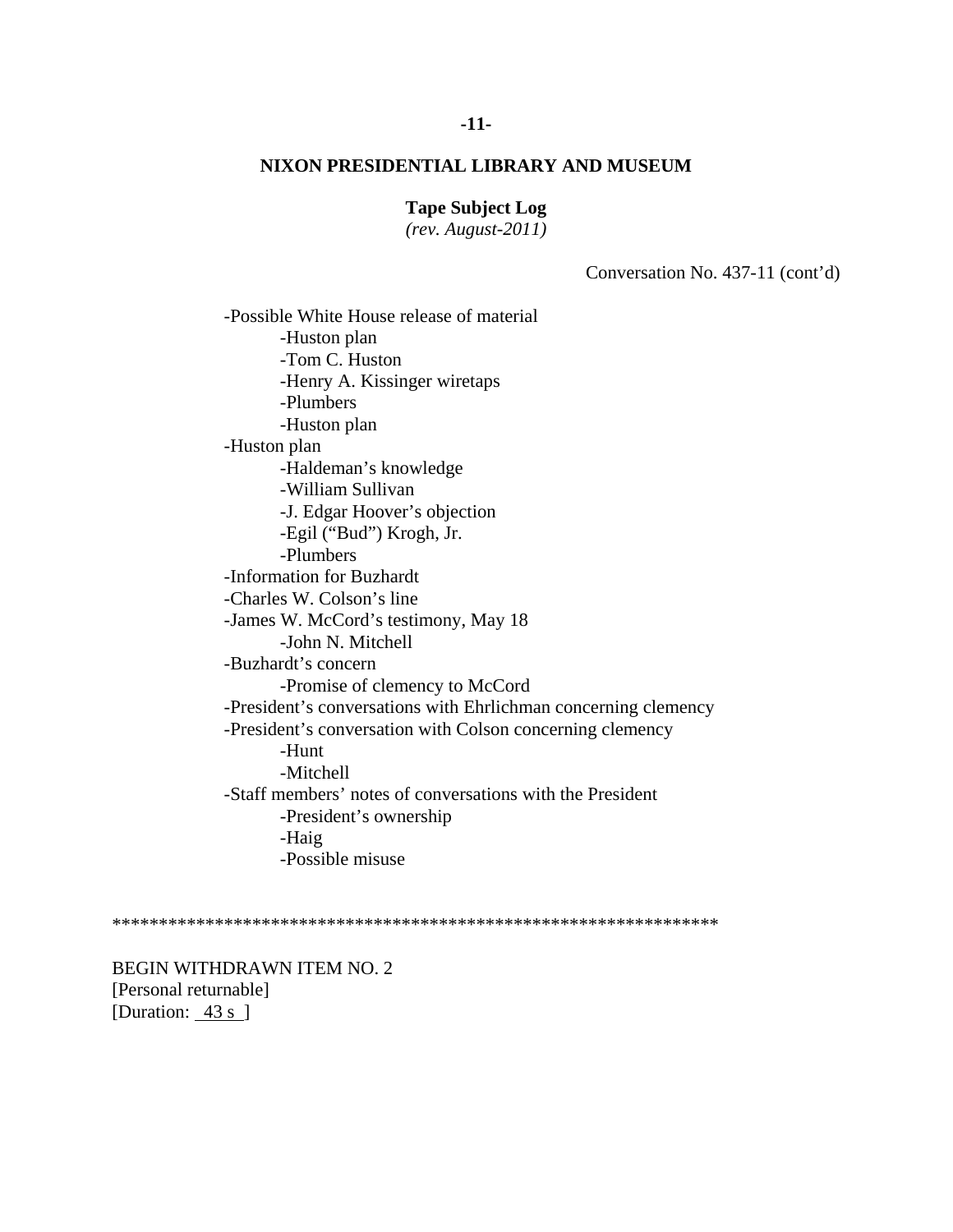#### **Tape Subject Log**

*(rev. August-2011)* 

Conversation No. 437-11 (cont'd)

-Possible White House release of material -Huston plan -Tom C. Huston -Henry A. Kissinger wiretaps -Plumbers -Huston plan -Huston plan -Haldeman's knowledge -William Sullivan -J. Edgar Hoover's objection -Egil ("Bud") Krogh, Jr. -Plumbers -Information for Buzhardt -Charles W. Colson's line -James W. McCord's testimony, May 18 -John N. Mitchell -Buzhardt's concern -Promise of clemency to McCord -President's conversations with Ehrlichman concerning clemency -President's conversation with Colson concerning clemency -Hunt -Mitchell -Staff members' notes of conversations with the President -President's ownership -Haig -Possible misuse

\*\*\*\*\*\*\*\*\*\*\*\*\*\*\*\*\*\*\*\*\*\*\*\*\*\*\*\*\*\*\*\*\*\*\*\*\*\*\*\*\*\*\*\*\*\*\*\*\*\*\*\*\*\*\*\*\*\*\*\*\*\*\*\*\*

BEGIN WITHDRAWN ITEM NO. 2 [Personal returnable] [Duration: 43 s ]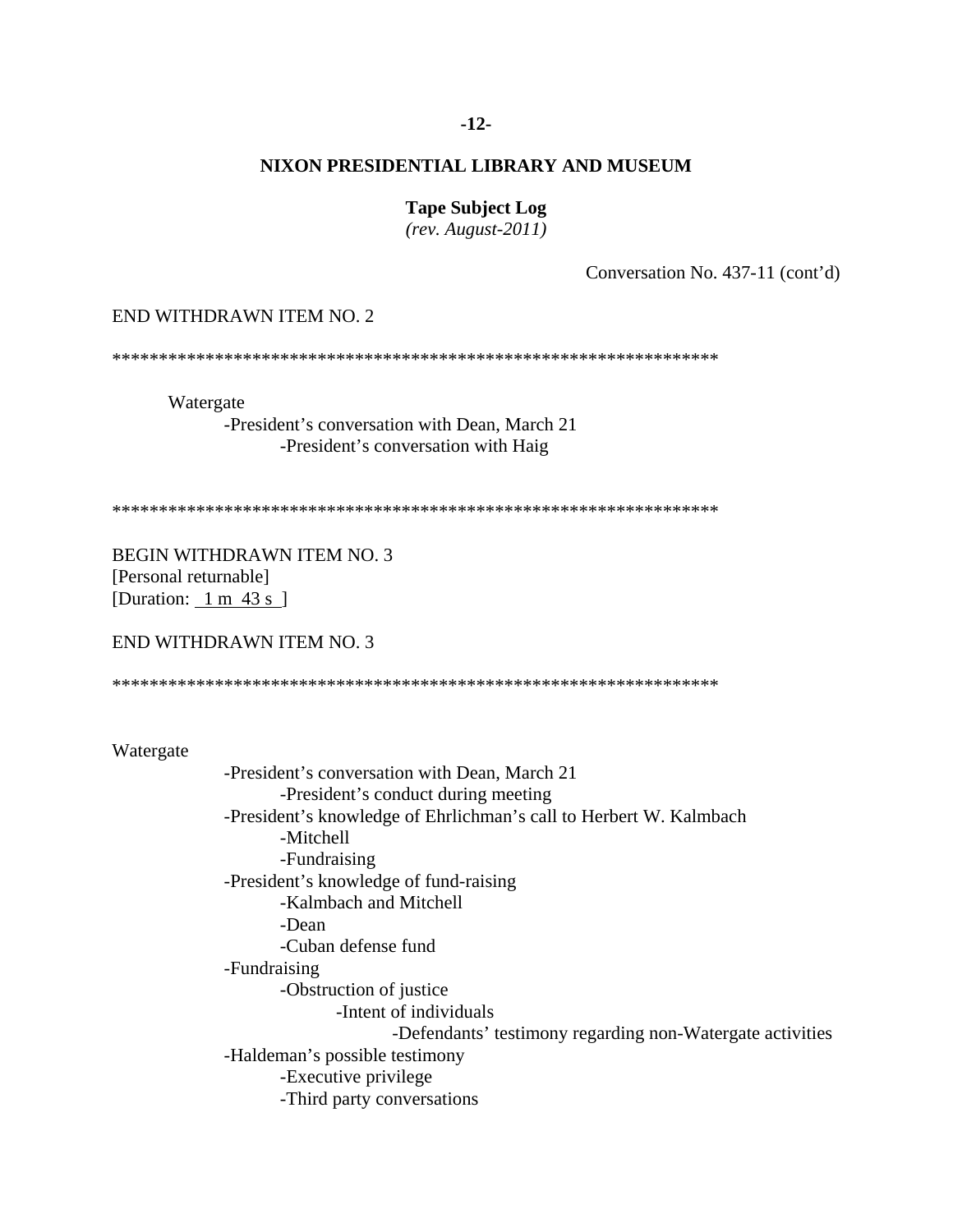#### $-12-$

## NIXON PRESIDENTIAL LIBRARY AND MUSEUM

**Tape Subject Log** 

 $(rev. August-2011)$ 

Conversation No. 437-11 (cont'd)

#### END WITHDRAWN ITEM NO. 2

Watergate

-President's conversation with Dean, March 21 -President's conversation with Haig

**BEGIN WITHDRAWN ITEM NO. 3** [Personal returnable] [Duration:  $1 \text{ m } 43 \text{ s }$ ]

#### END WITHDRAWN ITEM NO. 3

Watergate

-President's conversation with Dean, March 21 -President's conduct during meeting -President's knowledge of Ehrlichman's call to Herbert W. Kalmbach -Mitchell -Fundraising -President's knowledge of fund-raising -Kalmbach and Mitchell -Dean -Cuban defense fund -Fundraising -Obstruction of justice -Intent of individuals -Defendants' testimony regarding non-Watergate activities -Haldeman's possible testimony -Executive privilege -Third party conversations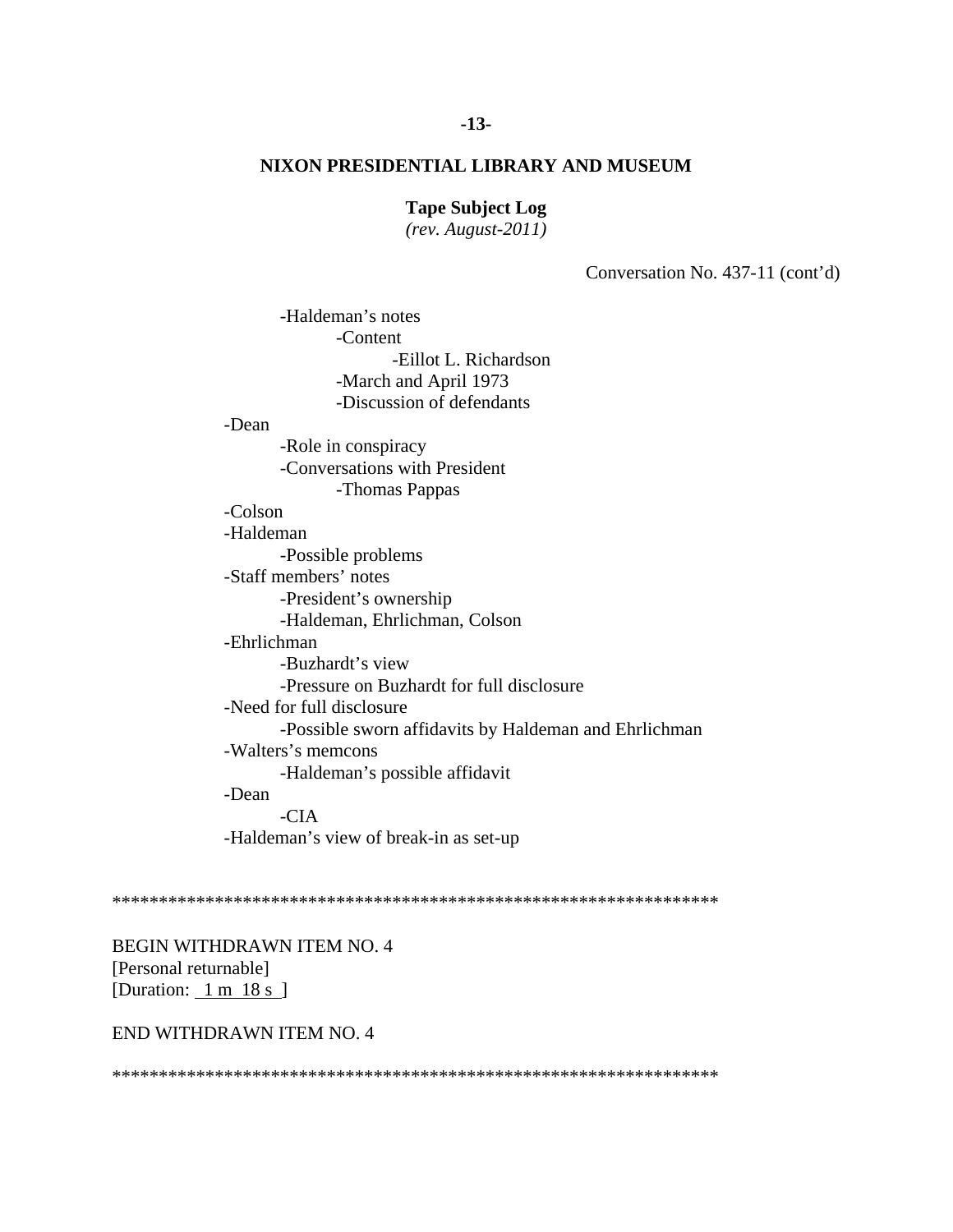**Tape Subject Log** 

 $(rev. August-2011)$ 

Conversation No. 437-11 (cont'd)

-Haldeman's notes -Content -Eillot L. Richardson -March and April 1973 -Discussion of defendants

-Dean

-Role in conspiracy -Conversations with President

-Thomas Pappas

# -Colson

-Haldeman

-Possible problems

-Staff members' notes

-President's ownership

-Haldeman, Ehrlichman, Colson

-Ehrlichman

-Buzhardt's view -Pressure on Buzhardt for full disclosure

-Need for full disclosure

-Possible sworn affidavits by Haldeman and Ehrlichman

-Walters's memcons

-Haldeman's possible affidavit

-Dean

 $-CIA$ 

-Haldeman's view of break-in as set-up

BEGIN WITHDRAWN ITEM NO. 4 [Personal returnable] [Duration:  $1 \text{ m } 18 \text{ s }$ ]

#### END WITHDRAWN ITEM NO. 4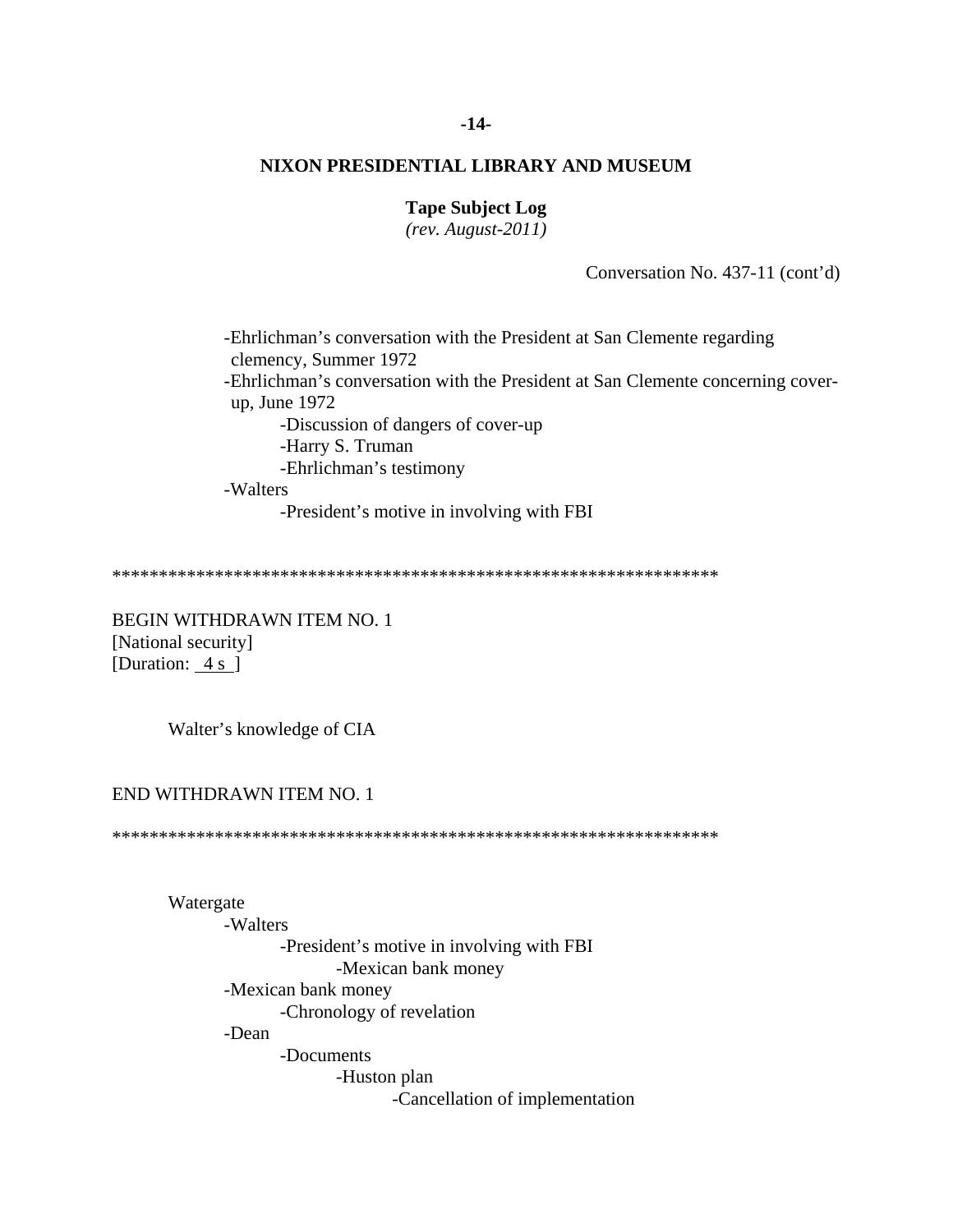#### $-14-$

# NIXON PRESIDENTIAL LIBRARY AND MUSEUM

## **Tape Subject Log**

 $(rev. August-2011)$ 

Conversation No. 437-11 (cont'd)

-Ehrlichman's conversation with the President at San Clemente regarding clemency, Summer 1972 -Ehrlichman's conversation with the President at San Clemente concerning coverup, June 1972 -Discussion of dangers of cover-up -Harry S. Truman -Ehrlichman's testimony -Walters

-President's motive in involving with FBI

**BEGIN WITHDRAWN ITEM NO. 1** [National security] [Duration: 4 s ]

Walter's knowledge of CIA

#### END WITHDRAWN ITEM NO. 1

Watergate

-Walters -President's motive in involving with FBI -Mexican bank money -Mexican bank money -Chronology of revelation -Dean -Documents -Huston plan -Cancellation of implementation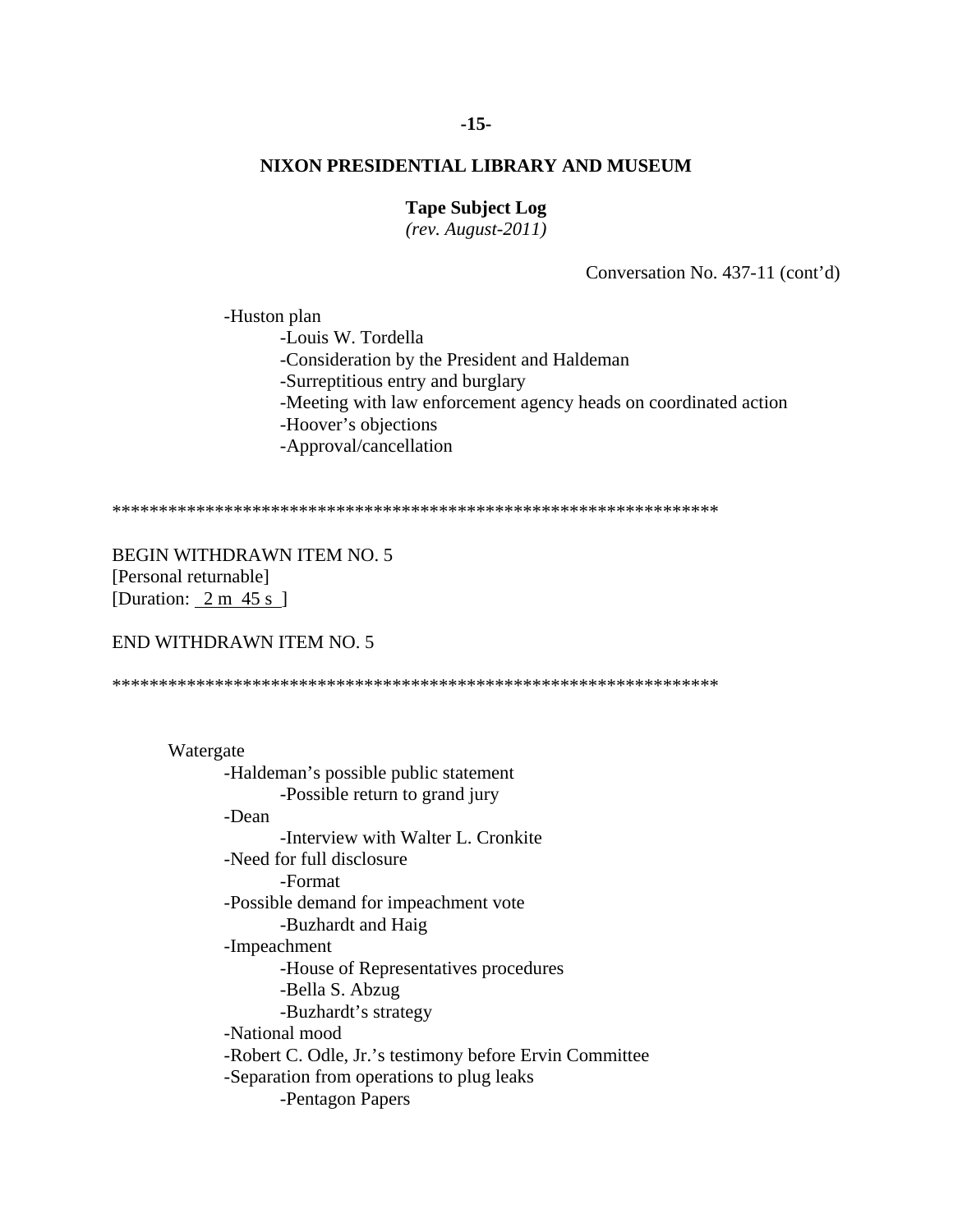#### $-15-$

# NIXON PRESIDENTIAL LIBRARY AND MUSEUM

## **Tape Subject Log**

 $(rev. August-2011)$ 

Conversation No. 437-11 (cont'd)

-Huston plan -Louis W. Tordella -Consideration by the President and Haldeman -Surreptitious entry and burglary -Meeting with law enforcement agency heads on coordinated action -Hoover's objections -Approval/cancellation

**BEGIN WITHDRAWN ITEM NO. 5** [Personal returnable] [Duration:  $2 \text{ m } 45 \text{ s }$ ]

#### END WITHDRAWN ITEM NO. 5

Watergate -Haldeman's possible public statement -Possible return to grand jury -Dean -Interview with Walter L. Cronkite -Need for full disclosure -Format -Possible demand for impeachment vote -Buzhardt and Haig -Impeachment -House of Representatives procedures -Bella S. Abzug -Buzhardt's strategy -National mood -Robert C. Odle, Jr.'s testimony before Ervin Committee -Separation from operations to plug leaks -Pentagon Papers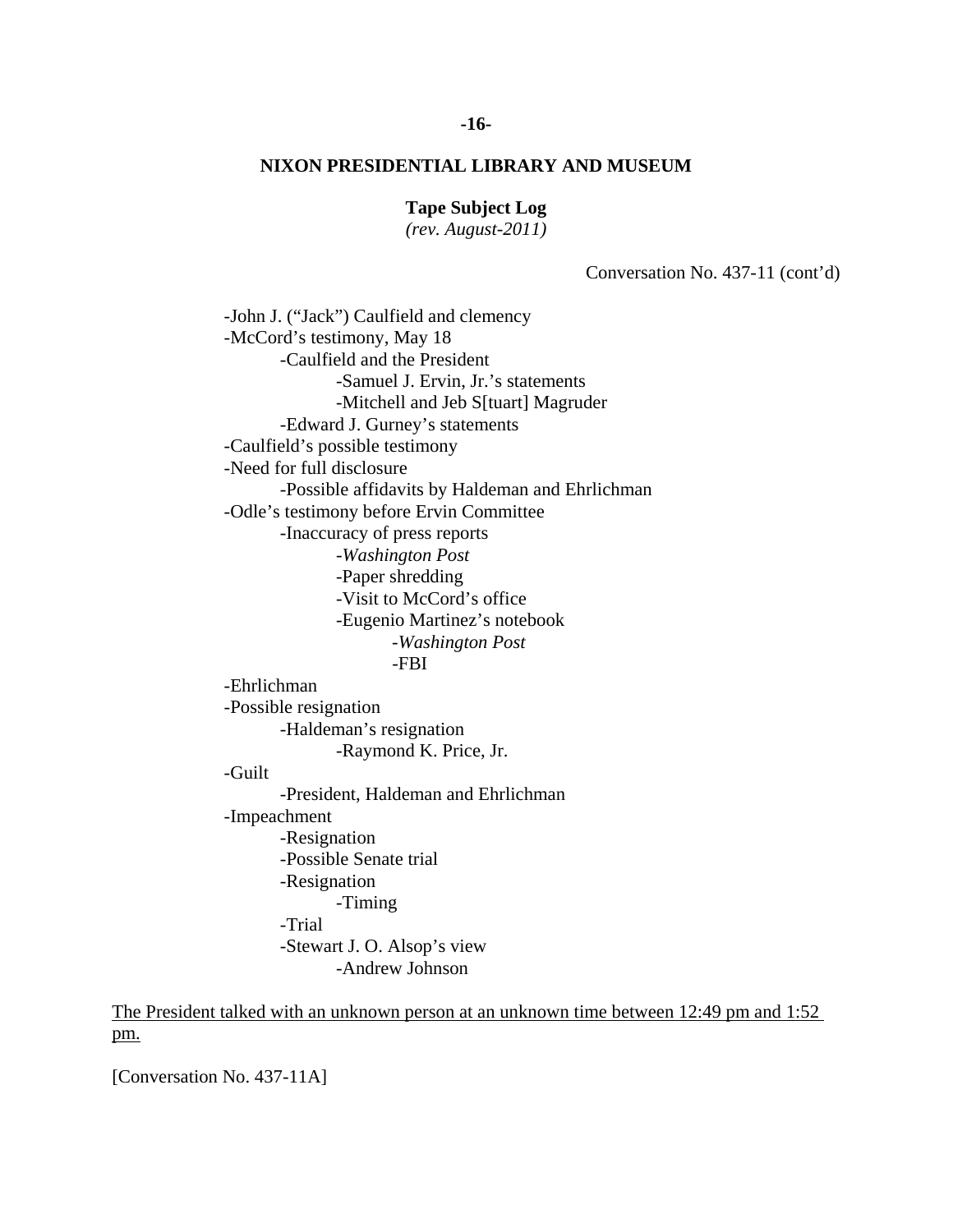**Tape Subject Log** 

*(rev. August-2011)* 

Conversation No. 437-11 (cont'd)

-John J. ("Jack") Caulfield and clemency -McCord's testimony, May 18 -Caulfield and the President -Samuel J. Ervin, Jr.'s statements -Mitchell and Jeb S[tuart] Magruder -Edward J. Gurney's statements -Caulfield's possible testimony -Need for full disclosure -Possible affidavits by Haldeman and Ehrlichman -Odle's testimony before Ervin Committee -Inaccuracy of press reports -*Washington Post* -Paper shredding -Visit to McCord's office -Eugenio Martinez's notebook -*Washington Post* -FBI -Ehrlichman -Possible resignation -Haldeman's resignation -Raymond K. Price, Jr. -Guilt -President, Haldeman and Ehrlichman -Impeachment -Resignation -Possible Senate trial -Resignation -Timing -Trial -Stewart J. O. Alsop's view -Andrew Johnson

The President talked with an unknown person at an unknown time between 12:49 pm and 1:52 pm.

[Conversation No. 437-11A]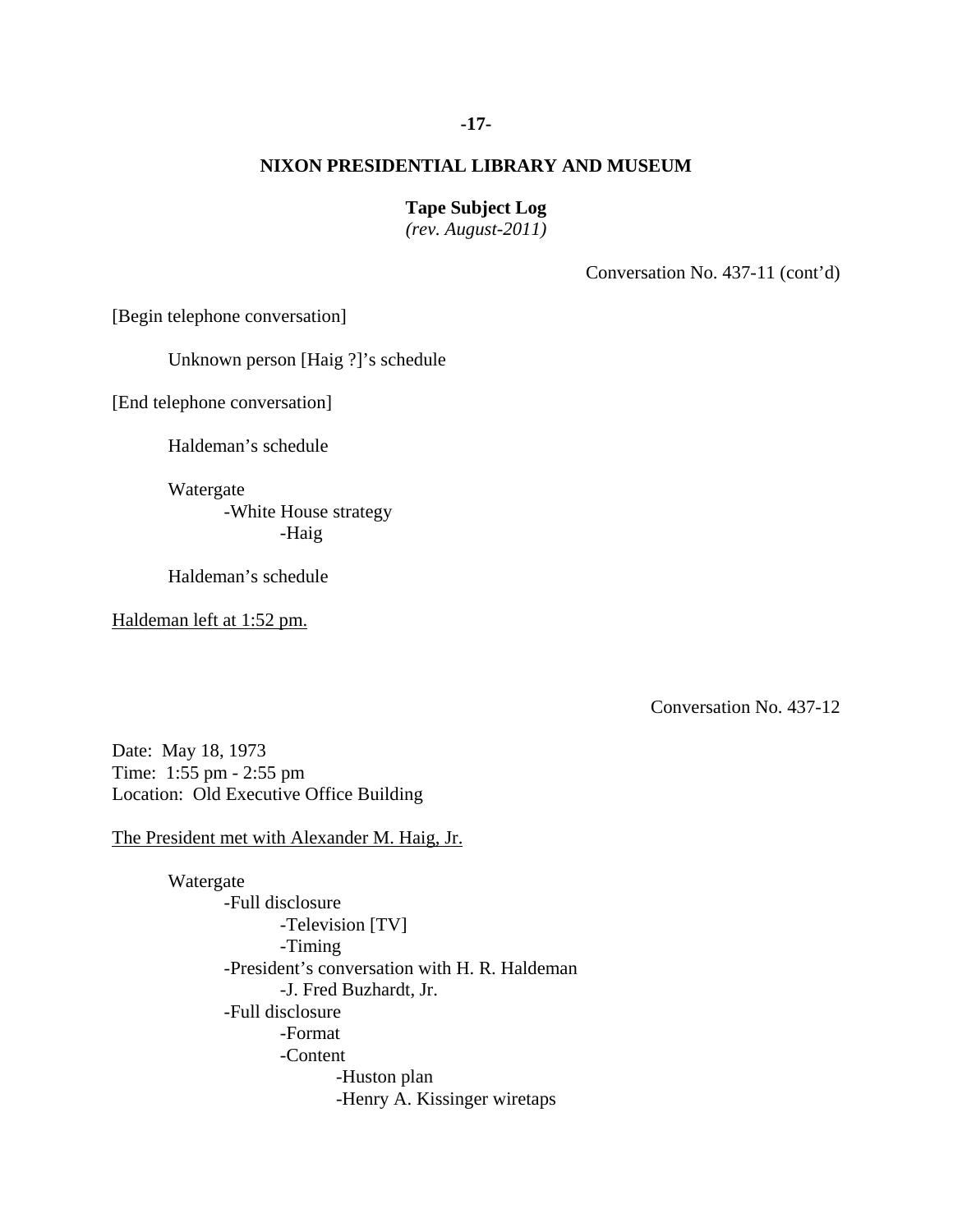## **-17-**

## **NIXON PRESIDENTIAL LIBRARY AND MUSEUM**

#### **Tape Subject Log**

*(rev. August-2011)* 

Conversation No. 437-11 (cont'd)

[Begin telephone conversation]

Unknown person [Haig ?]'s schedule

[End telephone conversation]

Haldeman's schedule

Watergate

 -White House strategy -Haig

Haldeman's schedule

Haldeman left at 1:52 pm.

Conversation No. 437-12

Date: May 18, 1973 Time: 1:55 pm - 2:55 pm Location: Old Executive Office Building

The President met with Alexander M. Haig, Jr.

 Watergate -Full disclosure -Television [TV] -Timing -President's conversation with H. R. Haldeman -J. Fred Buzhardt, Jr. -Full disclosure -Format -Content -Huston plan -Henry A. Kissinger wiretaps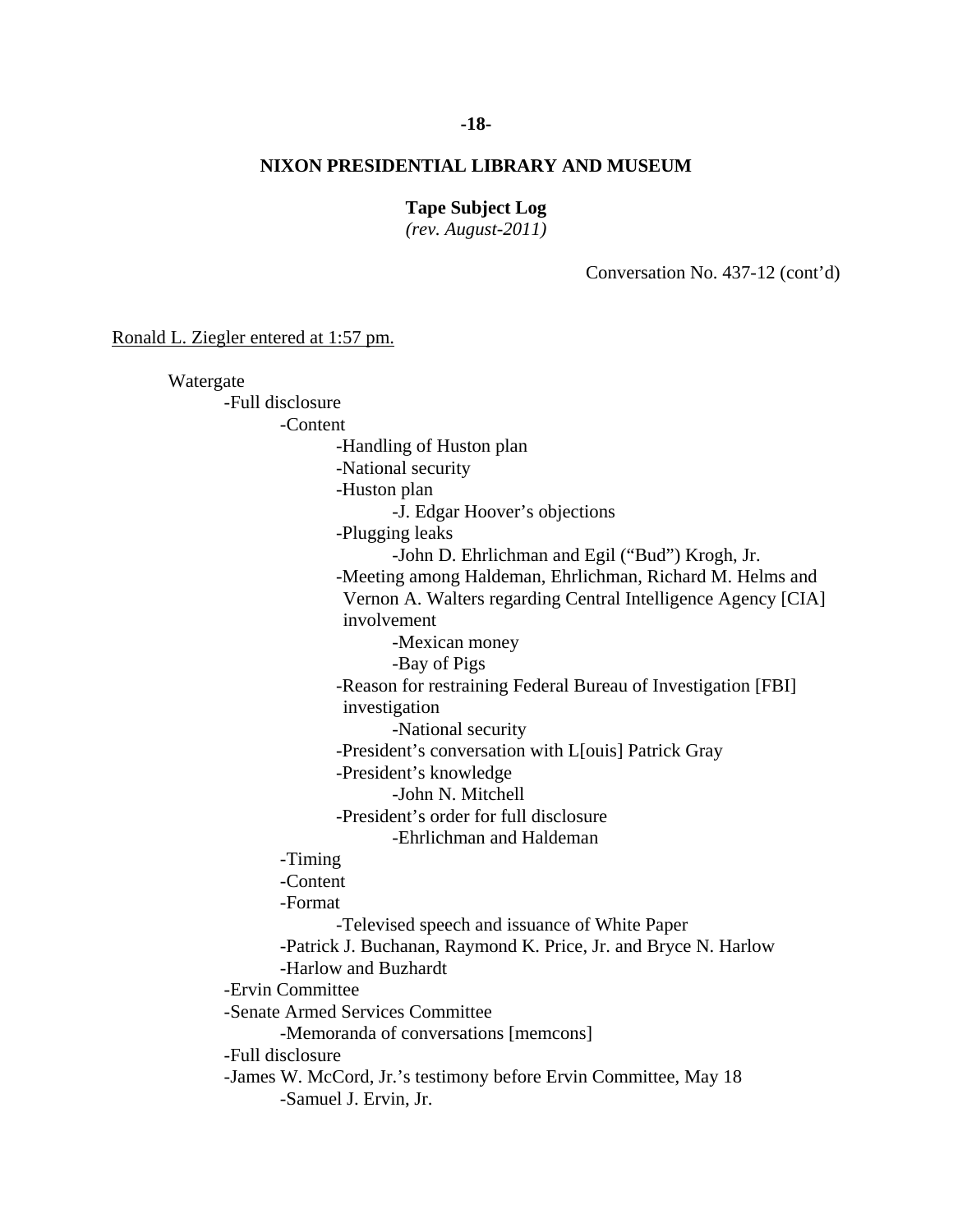#### **-18-**

### **NIXON PRESIDENTIAL LIBRARY AND MUSEUM**

#### **Tape Subject Log**

*(rev. August-2011)* 

Conversation No. 437-12 (cont'd)

Ronald L. Ziegler entered at 1:57 pm.

 Watergate -Full disclosure -Content -Handling of Huston plan -National security -Huston plan -J. Edgar Hoover's objections -Plugging leaks -John D. Ehrlichman and Egil ("Bud") Krogh, Jr. -Meeting among Haldeman, Ehrlichman, Richard M. Helms and Vernon A. Walters regarding Central Intelligence Agency [CIA] involvement -Mexican money -Bay of Pigs -Reason for restraining Federal Bureau of Investigation [FBI] investigation -National security -President's conversation with L[ouis] Patrick Gray -President's knowledge -John N. Mitchell -President's order for full disclosure -Ehrlichman and Haldeman -Timing -Content -Format -Televised speech and issuance of White Paper -Patrick J. Buchanan, Raymond K. Price, Jr. and Bryce N. Harlow -Harlow and Buzhardt -Ervin Committee -Senate Armed Services Committee -Memoranda of conversations [memcons] -Full disclosure -James W. McCord, Jr.'s testimony before Ervin Committee, May 18 -Samuel J. Ervin, Jr.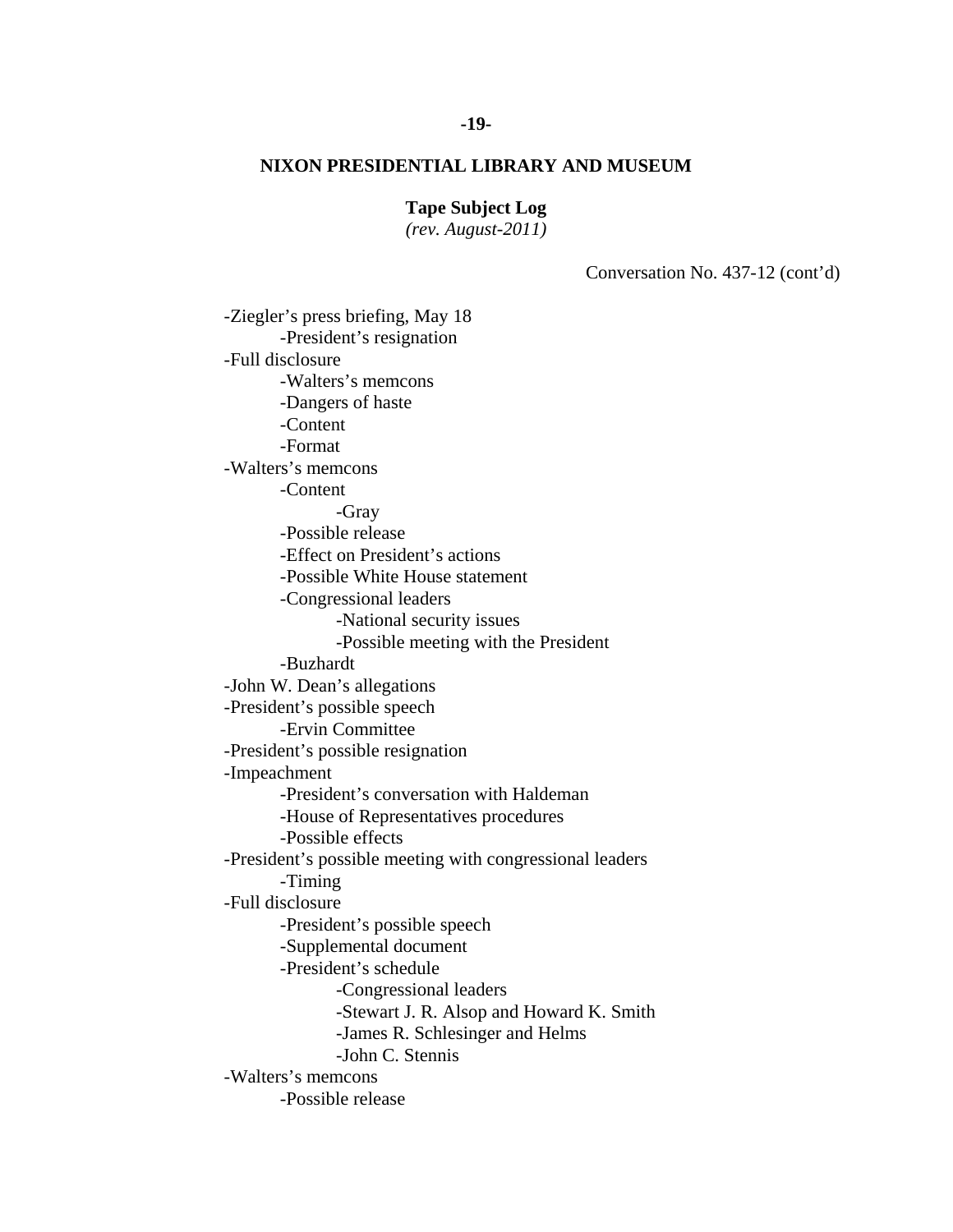#### **Tape Subject Log**

*(rev. August-2011)* 

Conversation No. 437-12 (cont'd)

-Ziegler's press briefing, May 18 -President's resignation -Full disclosure -Walters's memcons -Dangers of haste -Content -Format -Walters's memcons -Content -Gray -Possible release -Effect on President's actions -Possible White House statement -Congressional leaders -National security issues -Possible meeting with the President -Buzhardt -John W. Dean's allegations -President's possible speech -Ervin Committee -President's possible resignation -Impeachment -President's conversation with Haldeman -House of Representatives procedures -Possible effects -President's possible meeting with congressional leaders -Timing -Full disclosure -President's possible speech -Supplemental document -President's schedule -Congressional leaders -Stewart J. R. Alsop and Howard K. Smith -James R. Schlesinger and Helms -John C. Stennis -Walters's memcons -Possible release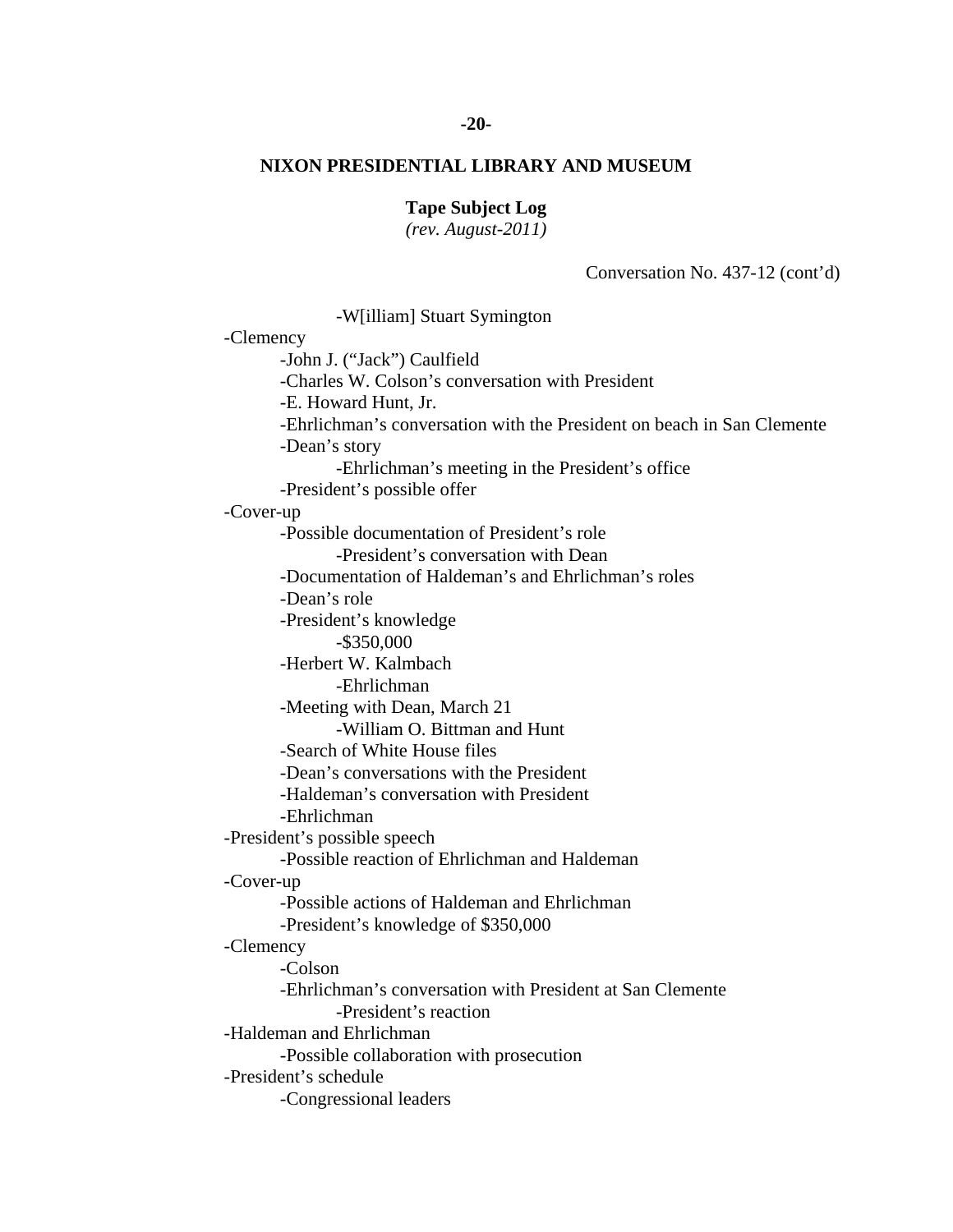#### **-20-**

# **NIXON PRESIDENTIAL LIBRARY AND MUSEUM**

# **Tape Subject Log**

*(rev. August-2011)* 

Conversation No. 437-12 (cont'd)

 -W[illiam] Stuart Symington -Clemency -John J. ("Jack") Caulfield -Charles W. Colson's conversation with President -E. Howard Hunt, Jr. -Ehrlichman's conversation with the President on beach in San Clemente -Dean's story -Ehrlichman's meeting in the President's office -President's possible offer -Cover-up -Possible documentation of President's role -President's conversation with Dean -Documentation of Haldeman's and Ehrlichman's roles -Dean's role -President's knowledge -\$350,000 -Herbert W. Kalmbach -Ehrlichman -Meeting with Dean, March 21 -William O. Bittman and Hunt -Search of White House files -Dean's conversations with the President -Haldeman's conversation with President -Ehrlichman -President's possible speech -Possible reaction of Ehrlichman and Haldeman -Cover-up -Possible actions of Haldeman and Ehrlichman -President's knowledge of \$350,000 -Clemency -Colson -Ehrlichman's conversation with President at San Clemente -President's reaction -Haldeman and Ehrlichman -Possible collaboration with prosecution -President's schedule -Congressional leaders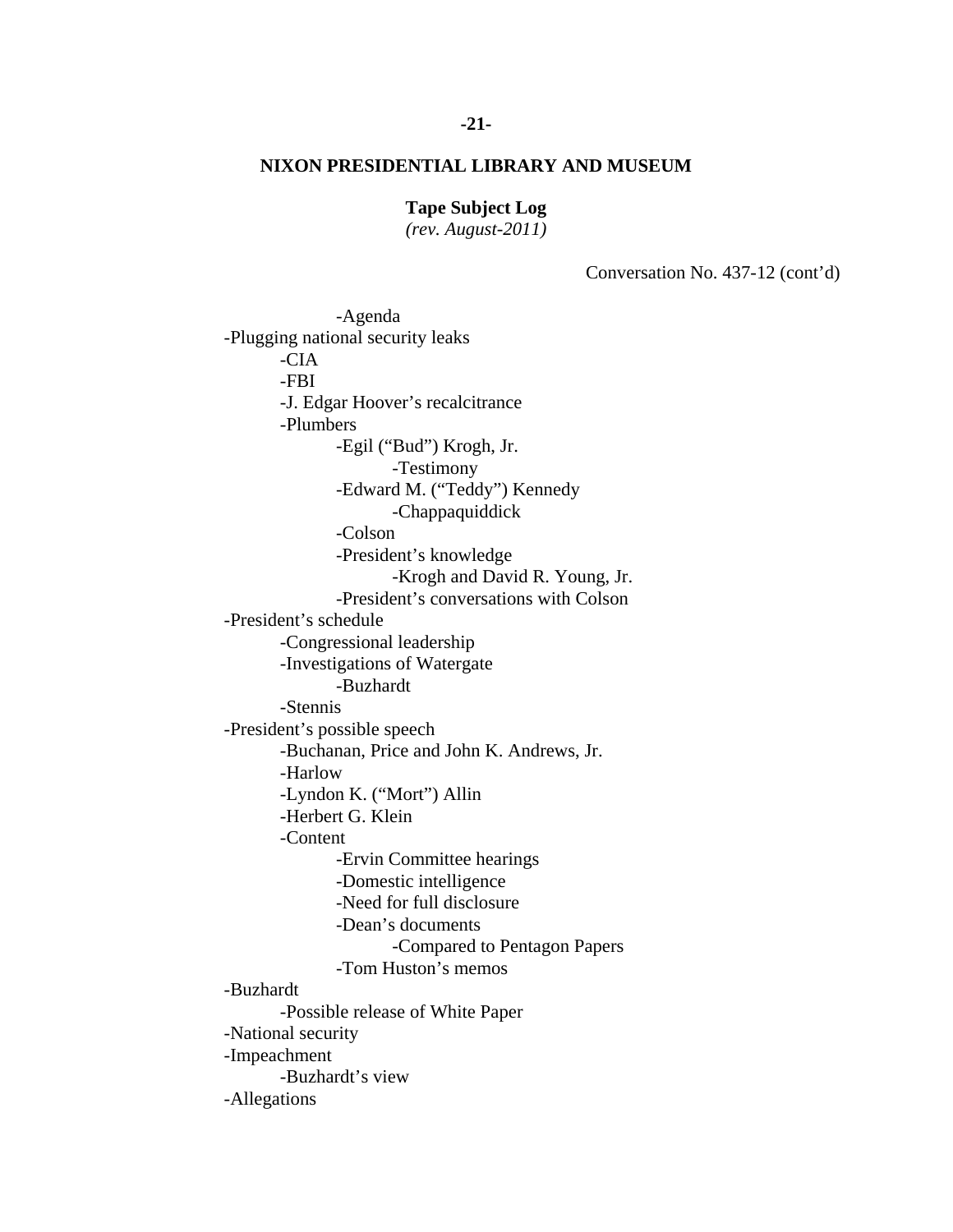## **Tape Subject Log**

*(rev. August-2011)* 

Conversation No. 437-12 (cont'd)

-Agenda -Plugging national security leaks -CIA -FBI -J. Edgar Hoover's recalcitrance -Plumbers -Egil ("Bud") Krogh, Jr. -Testimony -Edward M. ("Teddy") Kennedy -Chappaquiddick -Colson -President's knowledge -Krogh and David R. Young, Jr. -President's conversations with Colson -President's schedule -Congressional leadership -Investigations of Watergate -Buzhardt -Stennis -President's possible speech -Buchanan, Price and John K. Andrews, Jr. -Harlow -Lyndon K. ("Mort") Allin -Herbert G. Klein -Content -Ervin Committee hearings -Domestic intelligence -Need for full disclosure -Dean's documents -Compared to Pentagon Papers -Tom Huston's memos -Buzhardt -Possible release of White Paper -National security -Impeachment -Buzhardt's view -Allegations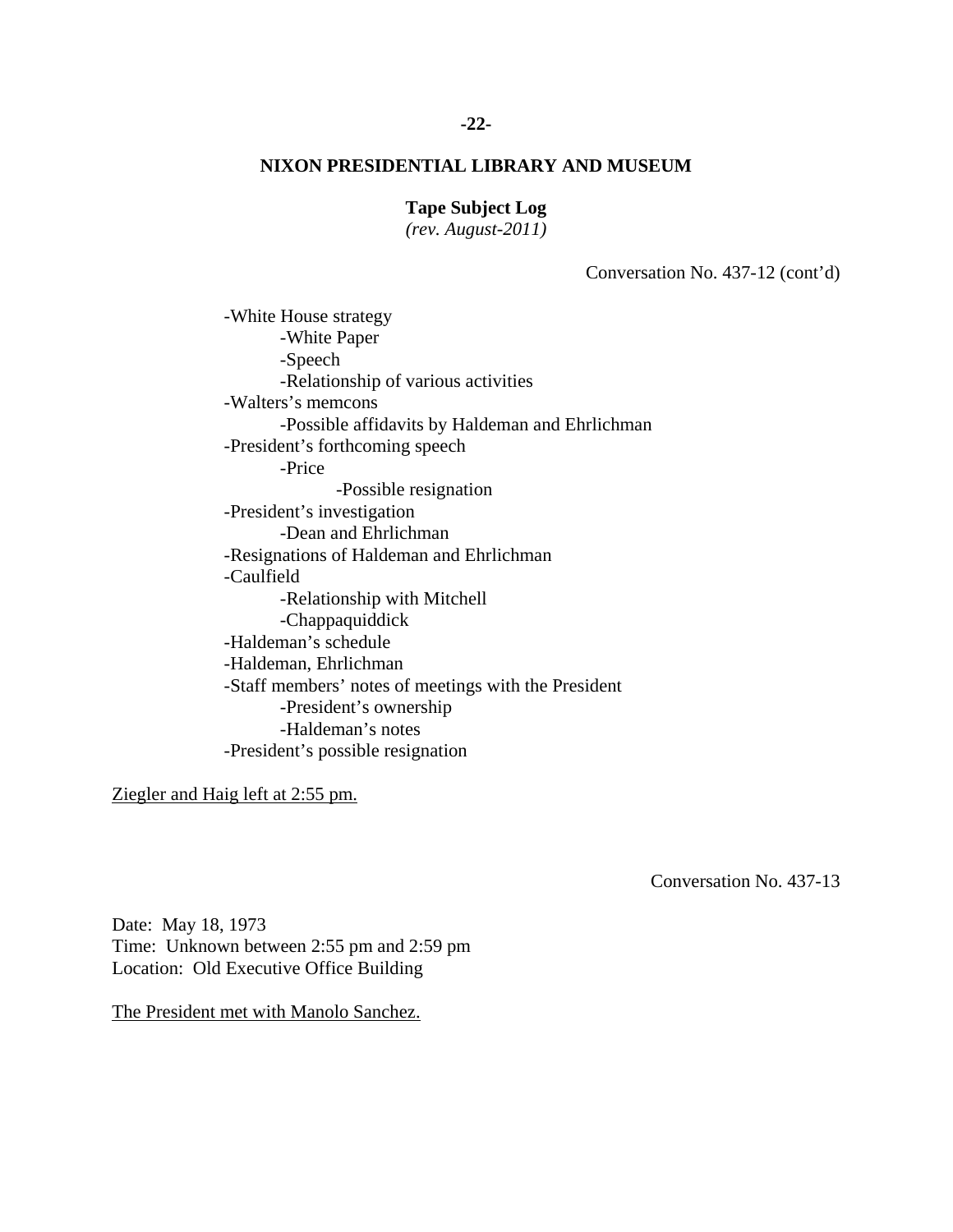### **Tape Subject Log**

*(rev. August-2011)* 

Conversation No. 437-12 (cont'd)

 -White House strategy -White Paper -Speech -Relationship of various activities -Walters's memcons -Possible affidavits by Haldeman and Ehrlichman -President's forthcoming speech -Price -Possible resignation -President's investigation -Dean and Ehrlichman -Resignations of Haldeman and Ehrlichman -Caulfield -Relationship with Mitchell -Chappaquiddick -Haldeman's schedule -Haldeman, Ehrlichman -Staff members' notes of meetings with the President -President's ownership -Haldeman's notes -President's possible resignation

Ziegler and Haig left at 2:55 pm.

Conversation No. 437-13

Date: May 18, 1973 Time: Unknown between 2:55 pm and 2:59 pm Location: Old Executive Office Building

The President met with Manolo Sanchez.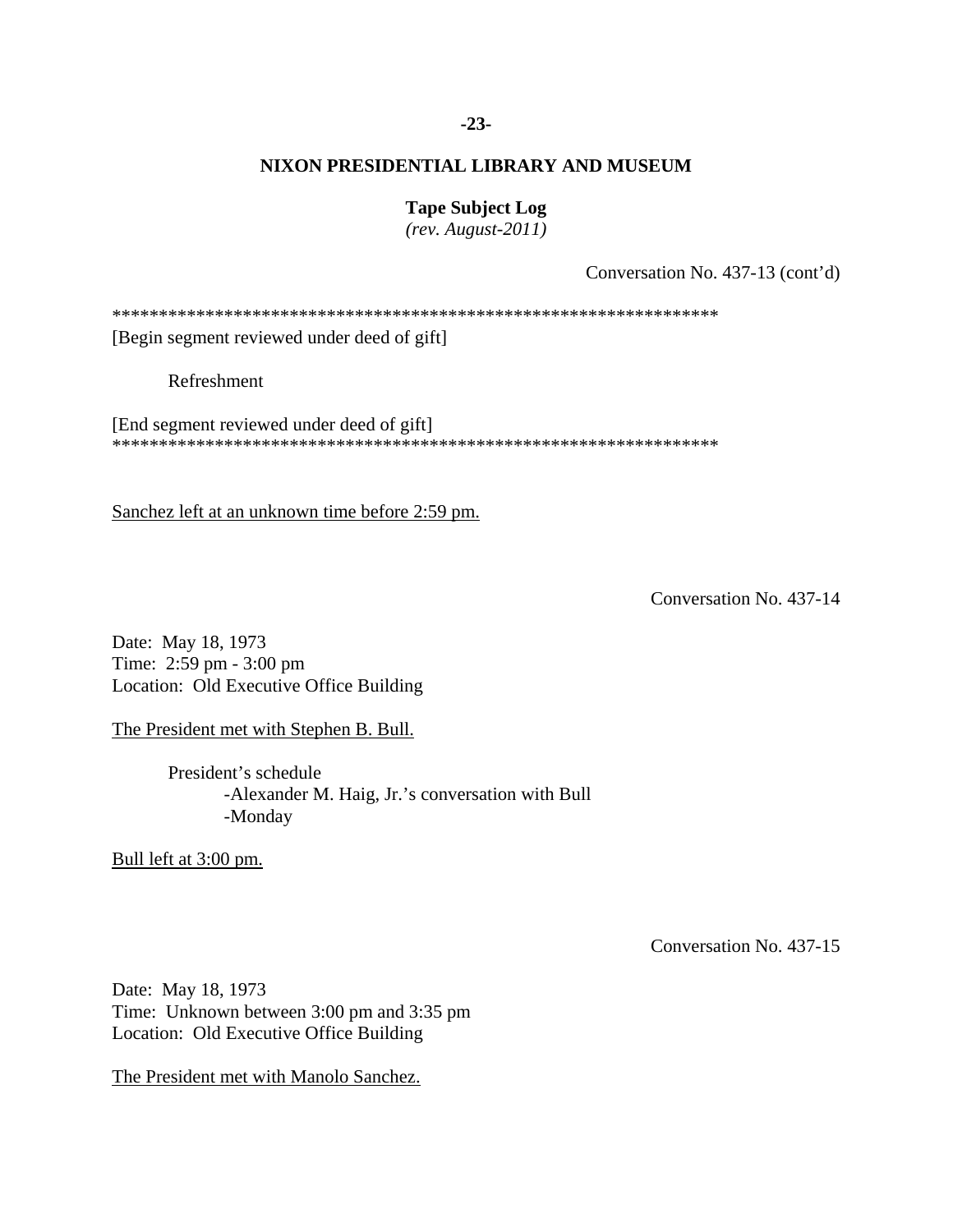## **-23-**

## **NIXON PRESIDENTIAL LIBRARY AND MUSEUM**

### **Tape Subject Log**

*(rev. August-2011)* 

Conversation No. 437-13 (cont'd)

\*\*\*\*\*\*\*\*\*\*\*\*\*\*\*\*\*\*\*\*\*\*\*\*\*\*\*\*\*\*\*\*\*\*\*\*\*\*\*\*\*\*\*\*\*\*\*\*\*\*\*\*\*\*\*\*\*\*\*\*\*\*\*\*\*

[Begin segment reviewed under deed of gift]

Refreshment

[End segment reviewed under deed of gift] \*\*\*\*\*\*\*\*\*\*\*\*\*\*\*\*\*\*\*\*\*\*\*\*\*\*\*\*\*\*\*\*\*\*\*\*\*\*\*\*\*\*\*\*\*\*\*\*\*\*\*\*\*\*\*\*\*\*\*\*\*\*\*\*\*

Sanchez left at an unknown time before 2:59 pm.

Conversation No. 437-14

Date: May 18, 1973 Time: 2:59 pm - 3:00 pm Location: Old Executive Office Building

The President met with Stephen B. Bull.

 President's schedule -Alexander M. Haig, Jr.'s conversation with Bull -Monday

Bull left at 3:00 pm.

Conversation No. 437-15

Date: May 18, 1973 Time: Unknown between 3:00 pm and 3:35 pm Location: Old Executive Office Building

The President met with Manolo Sanchez.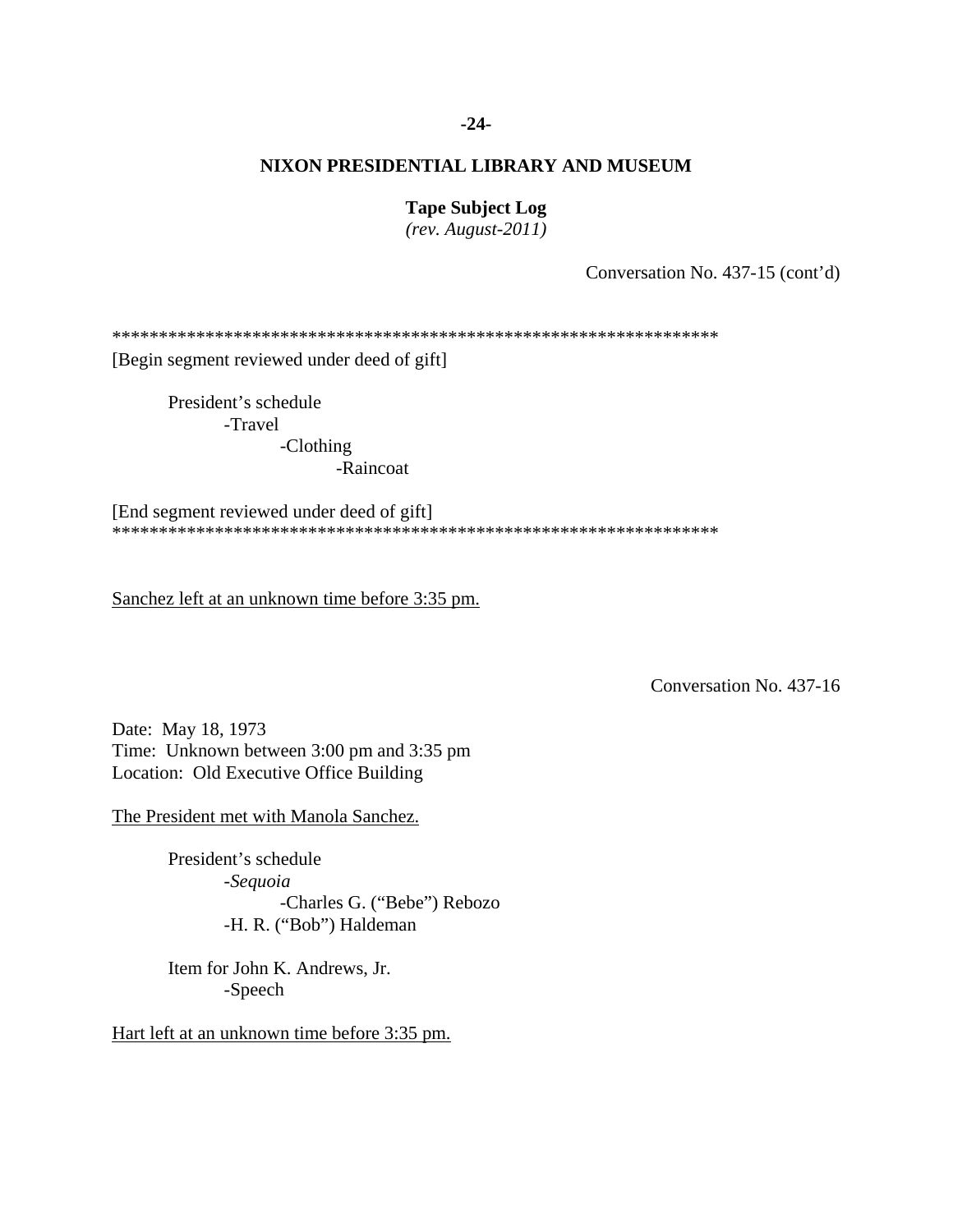## **-24-**

### **NIXON PRESIDENTIAL LIBRARY AND MUSEUM**

### **Tape Subject Log**

*(rev. August-2011)* 

Conversation No. 437-15 (cont'd)

\*\*\*\*\*\*\*\*\*\*\*\*\*\*\*\*\*\*\*\*\*\*\*\*\*\*\*\*\*\*\*\*\*\*\*\*\*\*\*\*\*\*\*\*\*\*\*\*\*\*\*\*\*\*\*\*\*\*\*\*\*\*\*\*\*

[Begin segment reviewed under deed of gift]

 President's schedule -Travel

> -Clothing -Raincoat

[End segment reviewed under deed of gift] \*\*\*\*\*\*\*\*\*\*\*\*\*\*\*\*\*\*\*\*\*\*\*\*\*\*\*\*\*\*\*\*\*\*\*\*\*\*\*\*\*\*\*\*\*\*\*\*\*\*\*\*\*\*\*\*\*\*\*\*\*\*\*\*\*

Sanchez left at an unknown time before 3:35 pm.

Conversation No. 437-16

Date: May 18, 1973 Time: Unknown between 3:00 pm and 3:35 pm Location: Old Executive Office Building

The President met with Manola Sanchez.

 President's schedule -*Sequoia* -Charles G. ("Bebe") Rebozo -H. R. ("Bob") Haldeman

Item for John K. Andrews, Jr. -Speech

Hart left at an unknown time before 3:35 pm.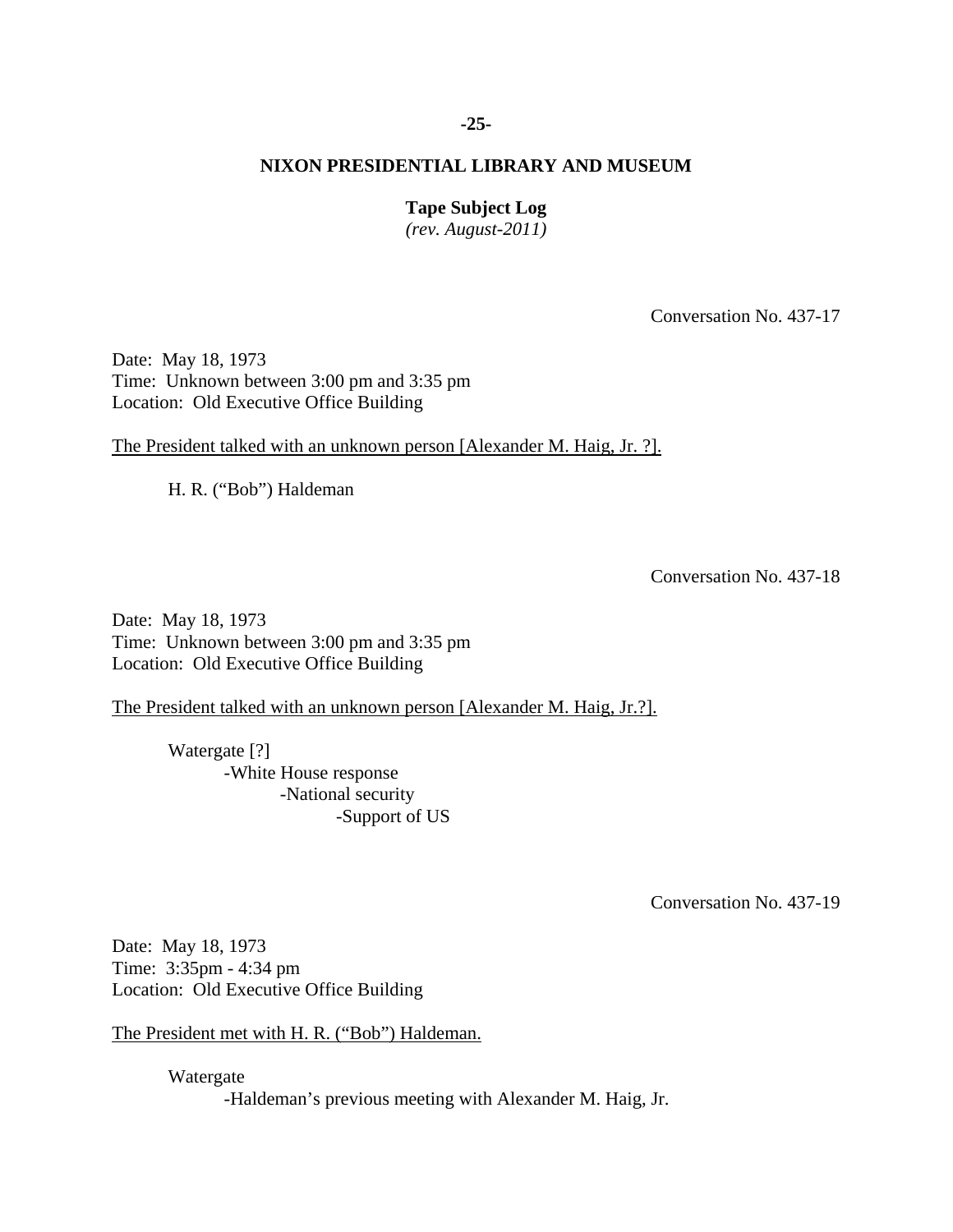## **-25-**

# **NIXON PRESIDENTIAL LIBRARY AND MUSEUM**

## **Tape Subject Log**

*(rev. August-2011)* 

Conversation No. 437-17

Date: May 18, 1973 Time: Unknown between 3:00 pm and 3:35 pm Location: Old Executive Office Building

The President talked with an unknown person [Alexander M. Haig, Jr. ?].

H. R. ("Bob") Haldeman

Conversation No. 437-18

Date: May 18, 1973 Time: Unknown between 3:00 pm and 3:35 pm Location: Old Executive Office Building

The President talked with an unknown person [Alexander M. Haig, Jr.?].

 Watergate [?] -White House response -National security -Support of US

Conversation No. 437-19

Date: May 18, 1973 Time: 3:35pm - 4:34 pm Location: Old Executive Office Building

The President met with H. R. ("Bob") Haldeman.

 Watergate -Haldeman's previous meeting with Alexander M. Haig, Jr.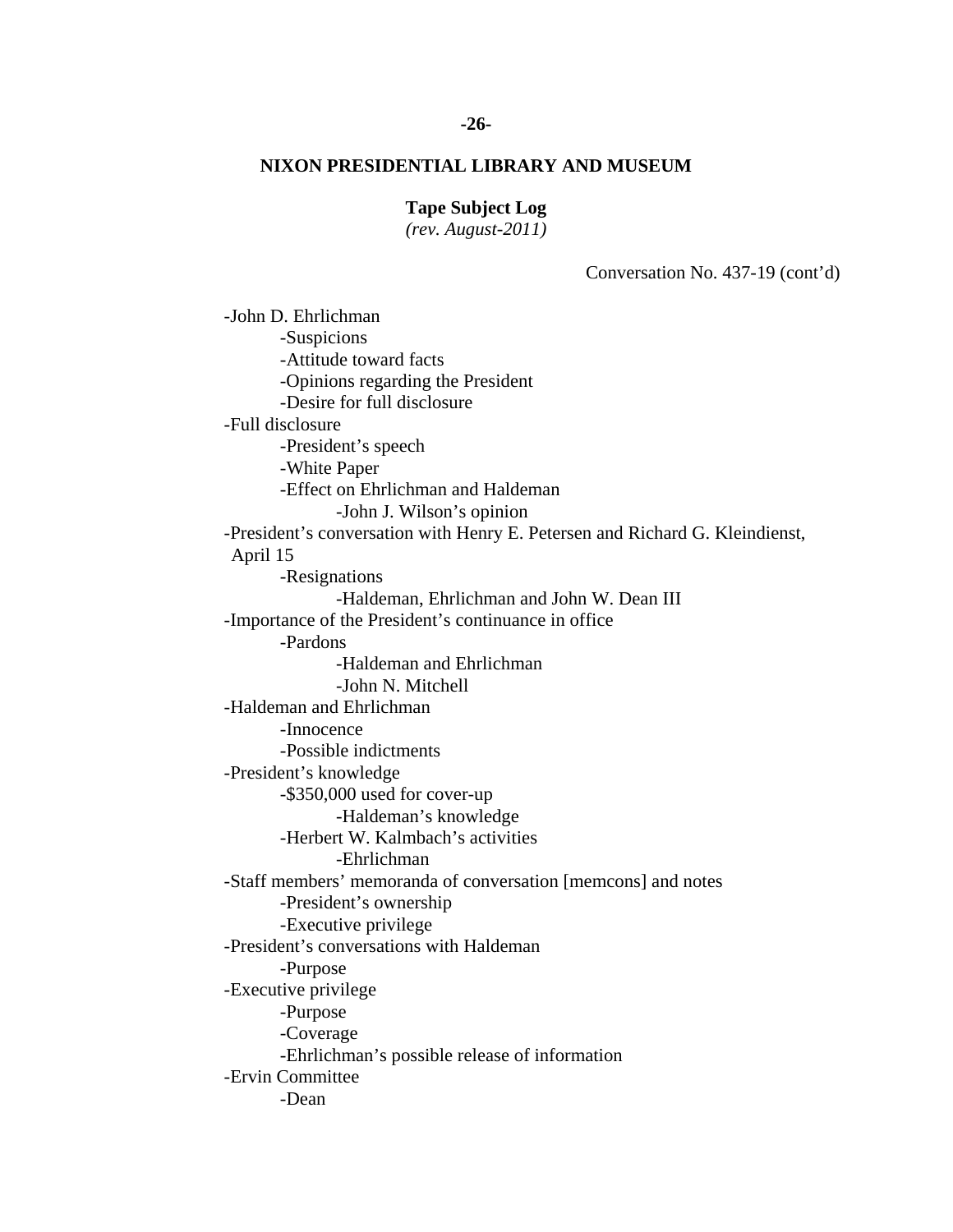# **-26-**

# **NIXON PRESIDENTIAL LIBRARY AND MUSEUM**

## **Tape Subject Log**

*(rev. August-2011)* 

Conversation No. 437-19 (cont'd)

 -John D. Ehrlichman -Suspicions -Attitude toward facts -Opinions regarding the President -Desire for full disclosure -Full disclosure -President's speech -White Paper -Effect on Ehrlichman and Haldeman -John J. Wilson's opinion -President's conversation with Henry E. Petersen and Richard G. Kleindienst, April 15 -Resignations -Haldeman, Ehrlichman and John W. Dean III -Importance of the President's continuance in office -Pardons -Haldeman and Ehrlichman -John N. Mitchell -Haldeman and Ehrlichman -Innocence -Possible indictments -President's knowledge -\$350,000 used for cover-up -Haldeman's knowledge -Herbert W. Kalmbach's activities -Ehrlichman -Staff members' memoranda of conversation [memcons] and notes -President's ownership -Executive privilege -President's conversations with Haldeman -Purpose -Executive privilege -Purpose -Coverage -Ehrlichman's possible release of information -Ervin Committee -Dean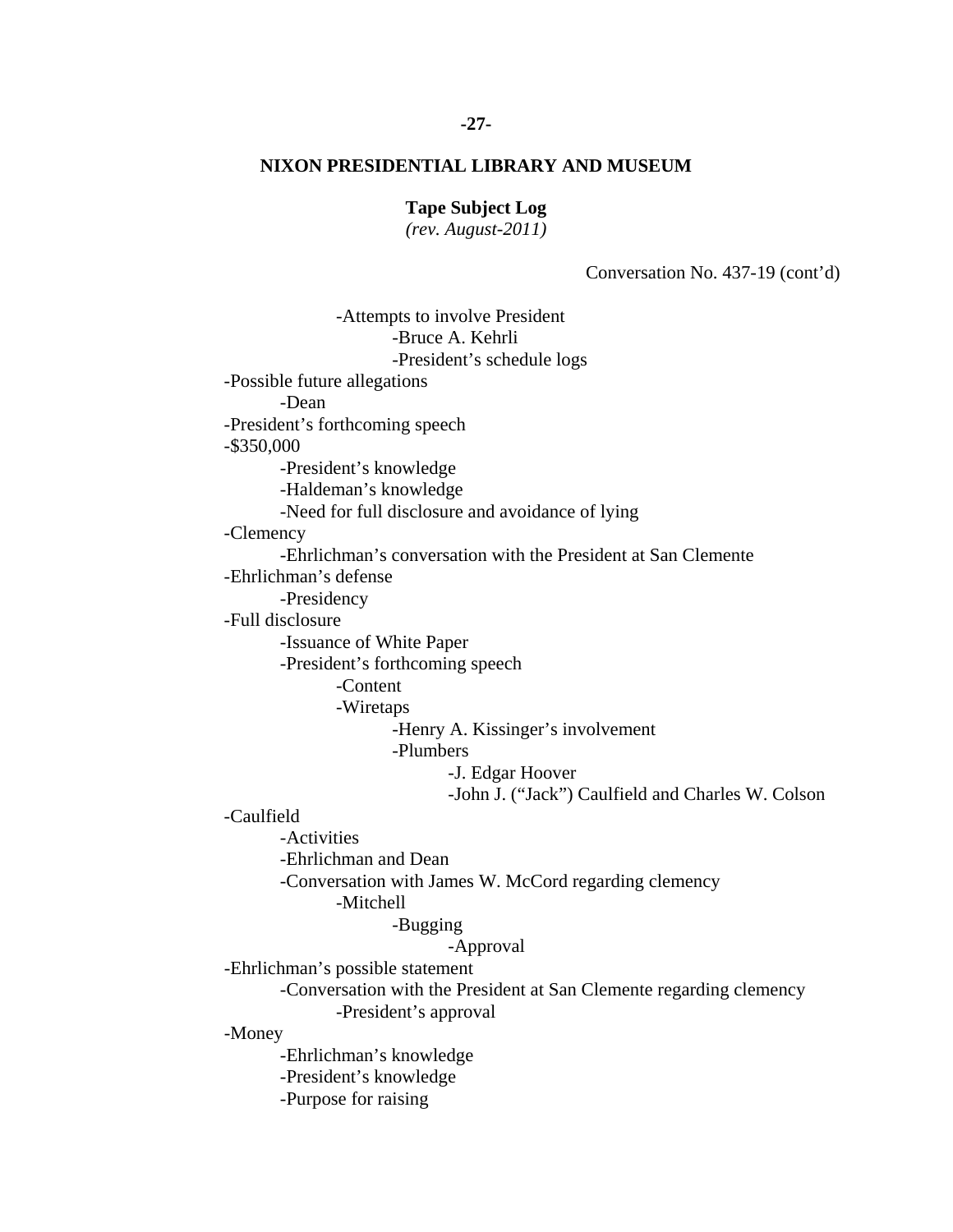#### **-27-**

## **NIXON PRESIDENTIAL LIBRARY AND MUSEUM**

**Tape Subject Log** 

*(rev. August-2011)* 

Conversation No. 437-19 (cont'd)

 -Bruce A. Kehrli -Attempts to involve President -President's schedule logs -Possible future allegations -Dean -President's forthcoming speech -\$350,000 -President's knowledge -Haldeman's knowledge -Need for full disclosure and avoidance of lying -Clemency -Ehrlichman's conversation with the President at San Clemente -Ehrlichman's defense -Presidency -Full disclosure -Issuance of White Paper -President's forthcoming speech -Content -Wiretaps -Henry A. Kissinger's involvement -Plumbers -J. Edgar Hoover -John J. ("Jack") Caulfield and Charles W. Colson -Caulfield -Activities -Ehrlichman and Dean -Conversation with James W. McCord regarding clemency -Mitchell -Bugging -Approval -Ehrlichman's possible statement -Conversation with the President at San Clemente regarding clemency -President's approval -Money -Ehrlichman's knowledge -President's knowledge -Purpose for raising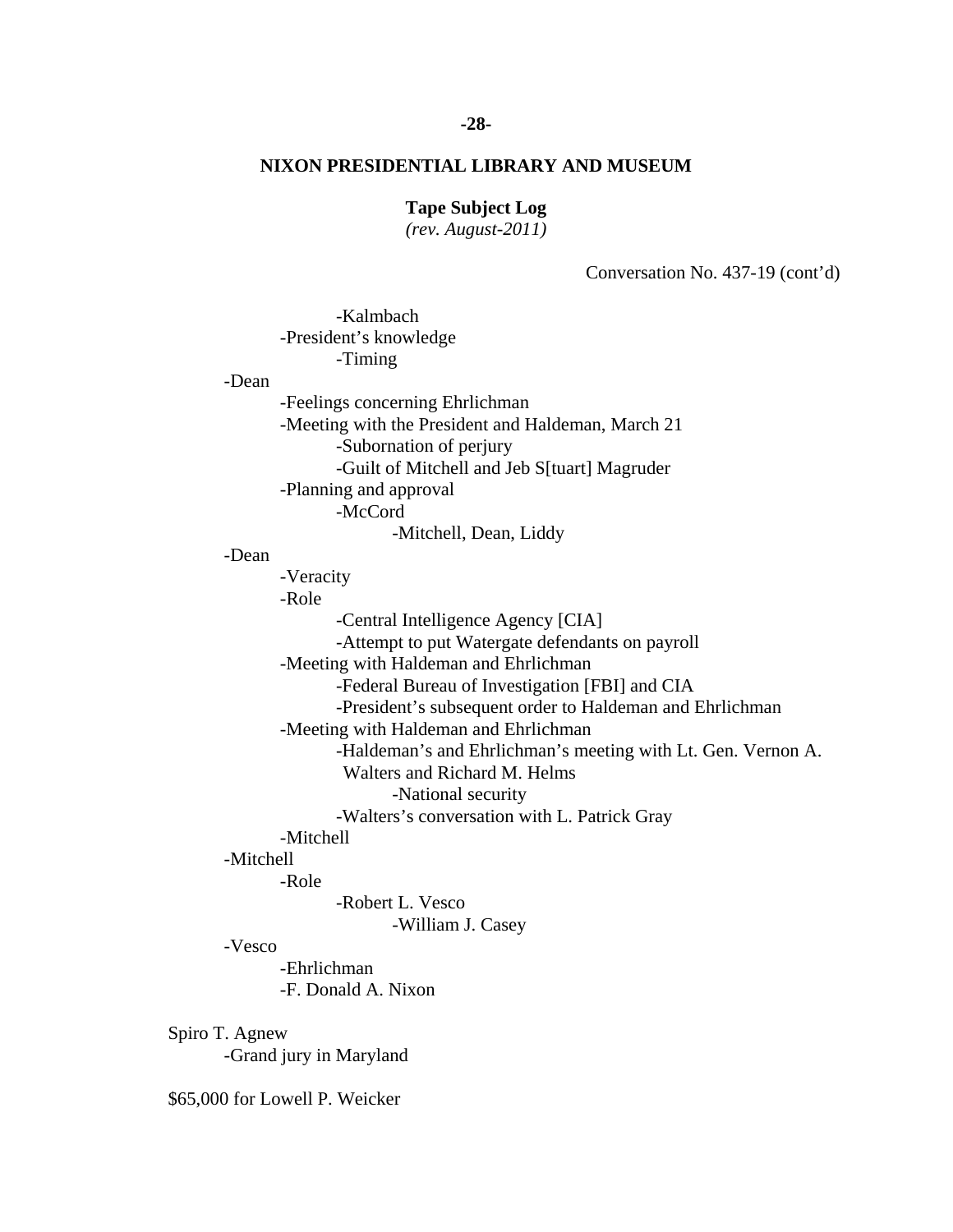# **-28-**

# **NIXON PRESIDENTIAL LIBRARY AND MUSEUM**

# **Tape Subject Log**

*(rev. August-2011)* 

Conversation No. 437-19 (cont'd)

| -Kalmbach<br>-President's knowledge                                                               |  |
|---------------------------------------------------------------------------------------------------|--|
| -Timing                                                                                           |  |
| -Dean                                                                                             |  |
| -Feelings concerning Ehrlichman                                                                   |  |
| -Meeting with the President and Haldeman, March 21                                                |  |
| -Subornation of perjury                                                                           |  |
| -Guilt of Mitchell and Jeb S[tuart] Magruder                                                      |  |
| -Planning and approval                                                                            |  |
| -McCord                                                                                           |  |
| -Mitchell, Dean, Liddy                                                                            |  |
| -Dean                                                                                             |  |
| -Veracity                                                                                         |  |
| -Role                                                                                             |  |
| -Central Intelligence Agency [CIA]                                                                |  |
| -Attempt to put Watergate defendants on payroll                                                   |  |
| -Meeting with Haldeman and Ehrlichman                                                             |  |
| -Federal Bureau of Investigation [FBI] and CIA                                                    |  |
| -President's subsequent order to Haldeman and Ehrlichman<br>-Meeting with Haldeman and Ehrlichman |  |
| -Haldeman's and Ehrlichman's meeting with Lt. Gen. Vernon A.                                      |  |
| Walters and Richard M. Helms                                                                      |  |
| -National security                                                                                |  |
| -Walters's conversation with L. Patrick Gray                                                      |  |
| -Mitchell                                                                                         |  |
| -Mitchell                                                                                         |  |
| -Role                                                                                             |  |
| -Robert L. Vesco                                                                                  |  |
| -William J. Casey                                                                                 |  |
| -Vesco                                                                                            |  |
| -Ehrlichman                                                                                       |  |
| -F. Donald A. Nixon                                                                               |  |
|                                                                                                   |  |
| Spiro T. Agnew<br>Condination Monderd                                                             |  |

-Grand jury in Maryland

\$65,000 for Lowell P. Weicker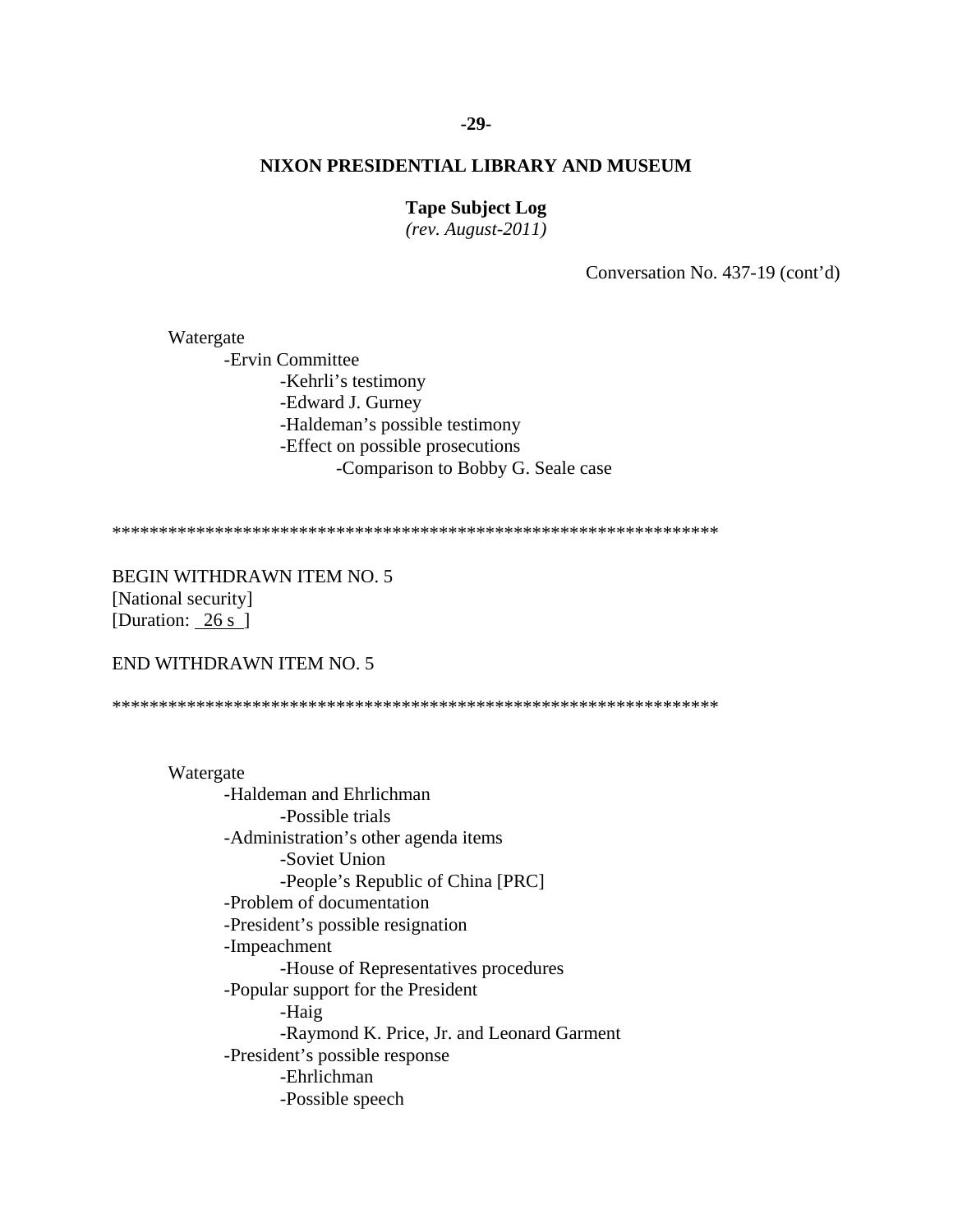#### $-29-$

# NIXON PRESIDENTIAL LIBRARY AND MUSEUM

## **Tape Subject Log**

 $(rev. August-2011)$ 

Conversation No. 437-19 (cont'd)

Watergate -Ervin Committee -Kehrli's testimony -Edward J. Gurney -Haldeman's possible testimony -Effect on possible prosecutions -Comparison to Bobby G. Seale case

**BEGIN WITHDRAWN ITEM NO. 5** [National security] [Duration:  $26 s$ ]

END WITHDRAWN ITEM NO. 5

Watergate -Haldeman and Ehrlichman -Possible trials -Administration's other agenda items -Soviet Union -People's Republic of China [PRC] -Problem of documentation -President's possible resignation -Impeachment -House of Representatives procedures -Popular support for the President -Haig -Raymond K. Price, Jr. and Leonard Garment -President's possible response -Ehrlichman -Possible speech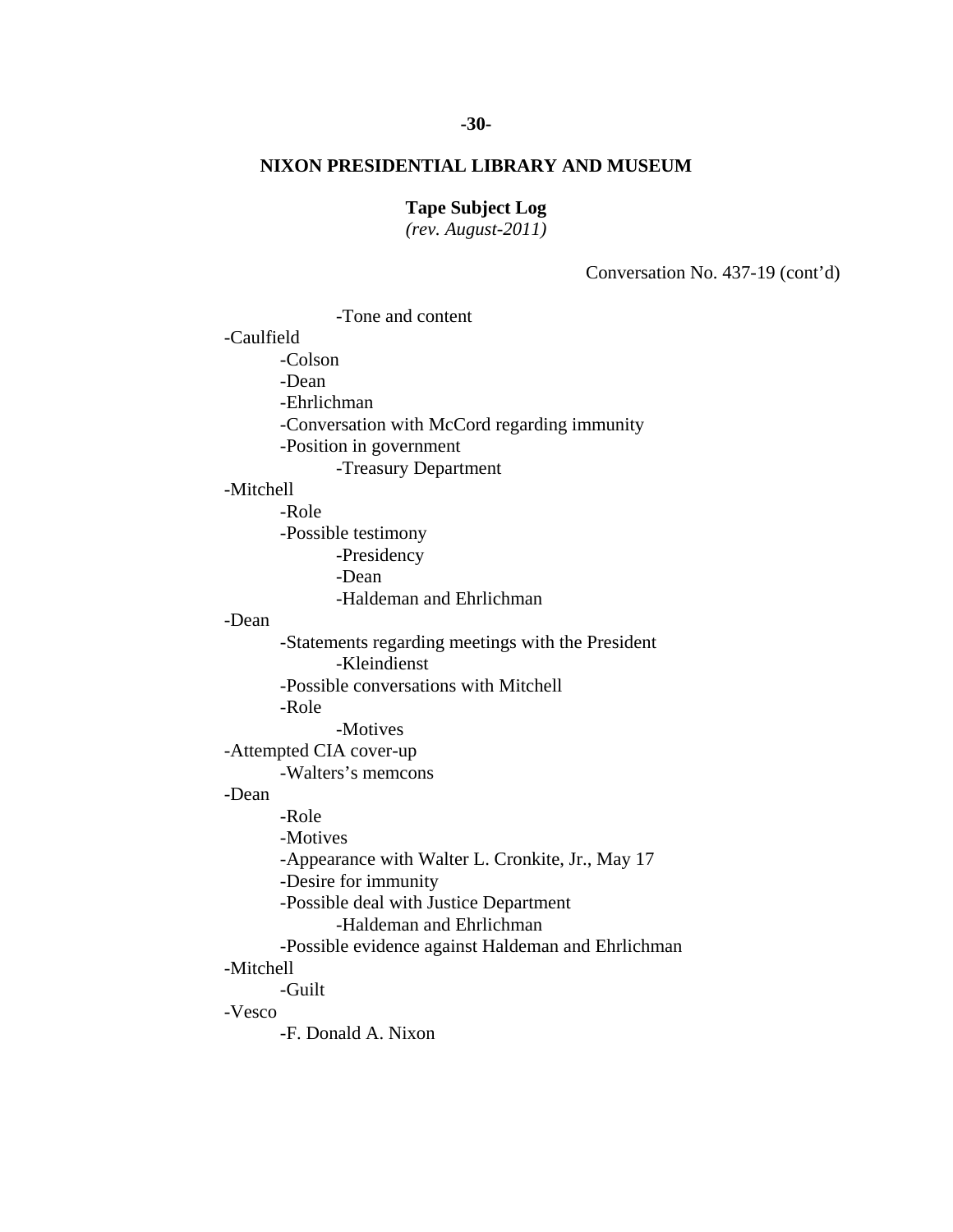## **Tape Subject Log**

*(rev. August-2011)* 

Conversation No. 437-19 (cont'd)

 -Tone and content -Caulfield -Colson -Dean -Ehrlichman -Conversation with McCord regarding immunity -Position in government -Treasury Department -Mitchell -Role -Possible testimony -Presidency -Dean -Haldeman and Ehrlichman -Dean -Statements regarding meetings with the President -Kleindienst -Possible conversations with Mitchell -Role -Motives -Attempted CIA cover-up -Walters's memcons -Dean -Role -Motives -Appearance with Walter L. Cronkite, Jr., May 17 -Desire for immunity -Possible deal with Justice Department -Haldeman and Ehrlichman -Possible evidence against Haldeman and Ehrlichman -Mitchell -Guilt -Vesco -F. Donald A. Nixon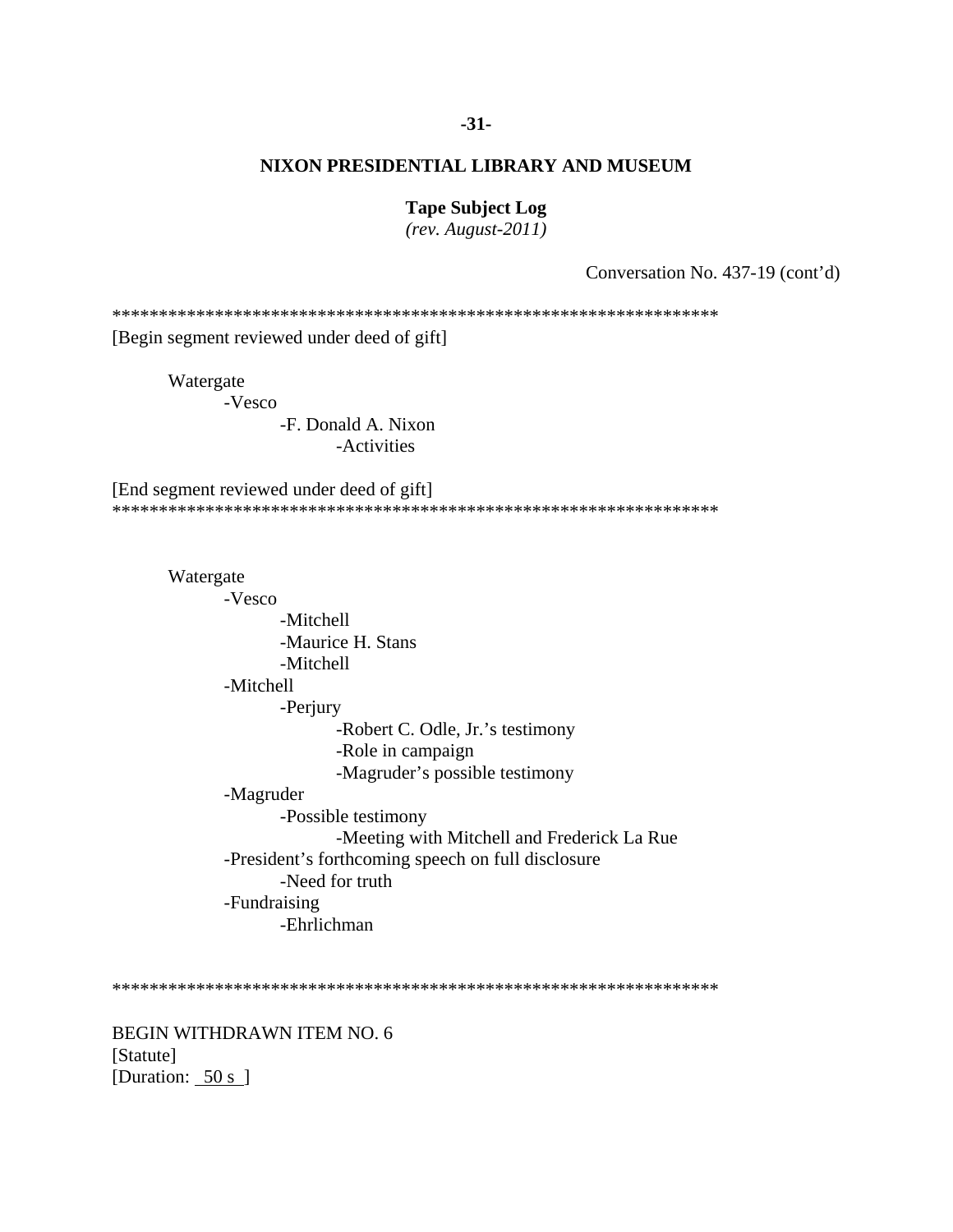## $-31-$

## NIXON PRESIDENTIAL LIBRARY AND MUSEUM

#### **Tape Subject Log**

 $(rev. August-2011)$ 

Conversation No. 437-19 (cont'd)

[Begin segment reviewed under deed of gift]

Watergate

-Vesco

-F. Donald A. Nixon -Activities

[End segment reviewed under deed of gift] 

Watergate -Vesco -Mitchell -Maurice H. Stans -Mitchell -Mitchell -Perjury -Robert C. Odle, Jr.'s testimony -Role in campaign -Magruder's possible testimony -Magruder -Possible testimony -Meeting with Mitchell and Frederick La Rue -President's forthcoming speech on full disclosure -Need for truth -Fundraising -Ehrlichman

**BEGIN WITHDRAWN ITEM NO. 6** [Statute] [Duration:  $\frac{50 \text{ s}}{ }$ ]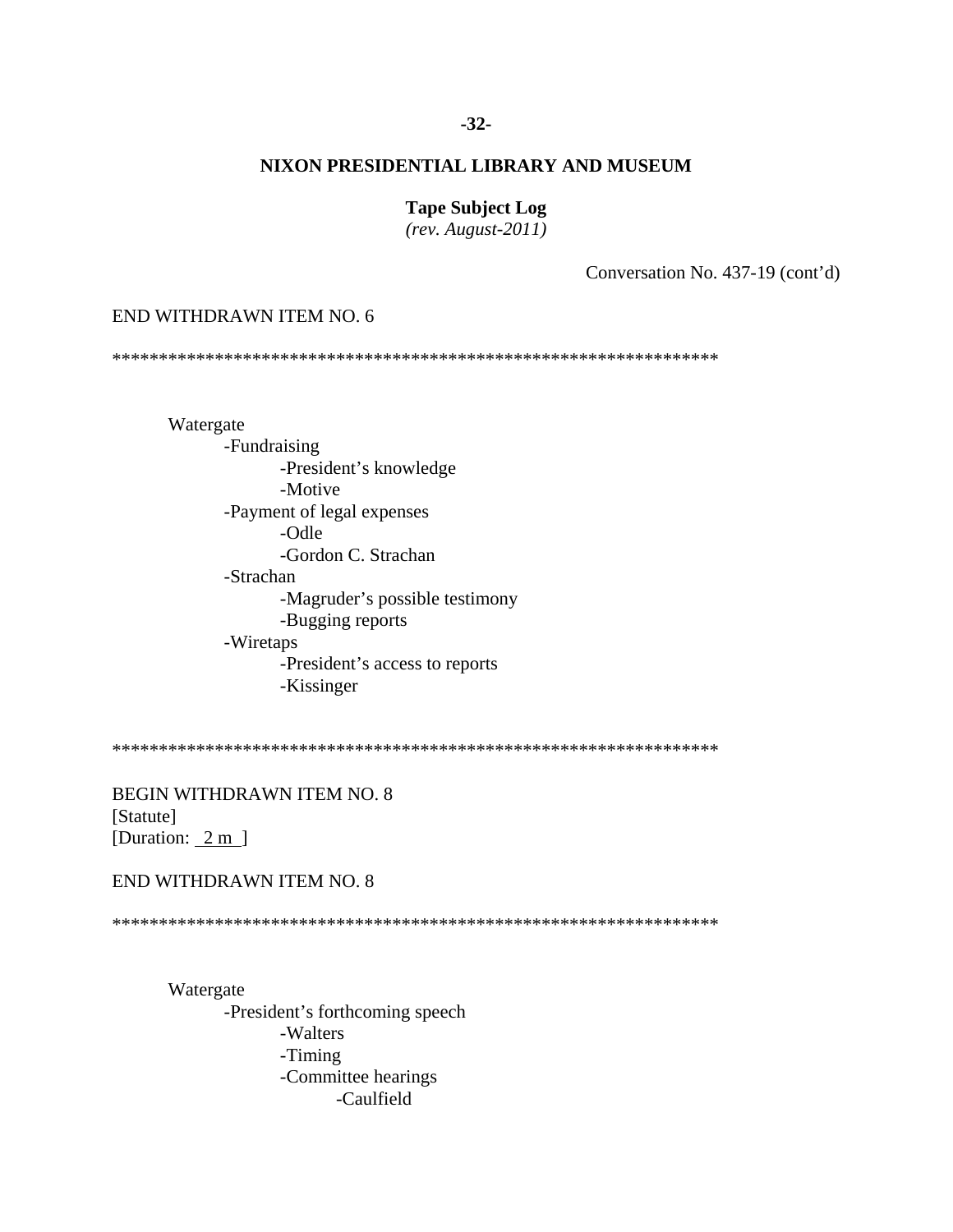## $-32-$

# NIXON PRESIDENTIAL LIBRARY AND MUSEUM

#### **Tape Subject Log**

 $(rev. August-2011)$ 

Conversation No. 437-19 (cont'd)

#### END WITHDRAWN ITEM NO. 6

Watergate -Fundraising -President's knowledge -Motive -Payment of legal expenses -Odle -Gordon C. Strachan -Strachan -Magruder's possible testimony -Bugging reports -Wiretaps -President's access to reports -Kissinger

**BEGIN WITHDRAWN ITEM NO. 8** [Statute] [Duration:  $2 \text{ m}$ ]

# END WITHDRAWN ITEM NO. 8

Watergate -President's forthcoming speech -Walters -Timing -Committee hearings -Caulfield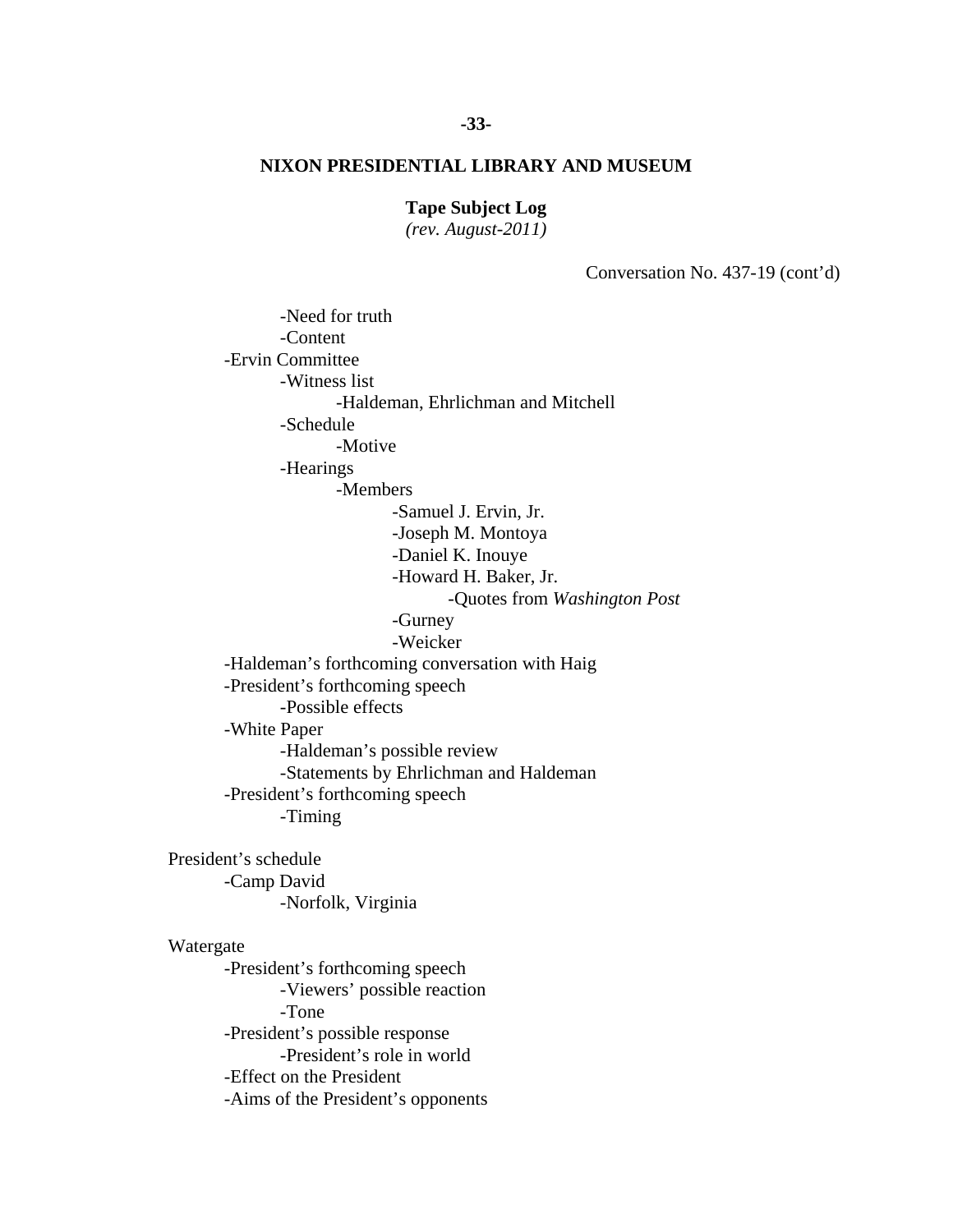#### **Tape Subject Log**

*(rev. August-2011)* 

Conversation No. 437-19 (cont'd)

 -Need for truth -Content -Ervin Committee -Witness list -Haldeman, Ehrlichman and Mitchell -Schedule -Motive -Hearings -Members -Samuel J. Ervin, Jr. -Joseph M. Montoya -Daniel K. Inouye -Howard H. Baker, Jr. -Quotes from *Washington Post* -Gurney -Weicker -Haldeman's forthcoming conversation with Haig -President's forthcoming speech -Possible effects -White Paper -Haldeman's possible review -Statements by Ehrlichman and Haldeman -President's forthcoming speech -Timing President's schedule -Camp David -Norfolk, Virginia Watergate -President's forthcoming speech -Viewers' possible reaction -Tone -President's possible response -President's role in world -Effect on the President -Aims of the President's opponents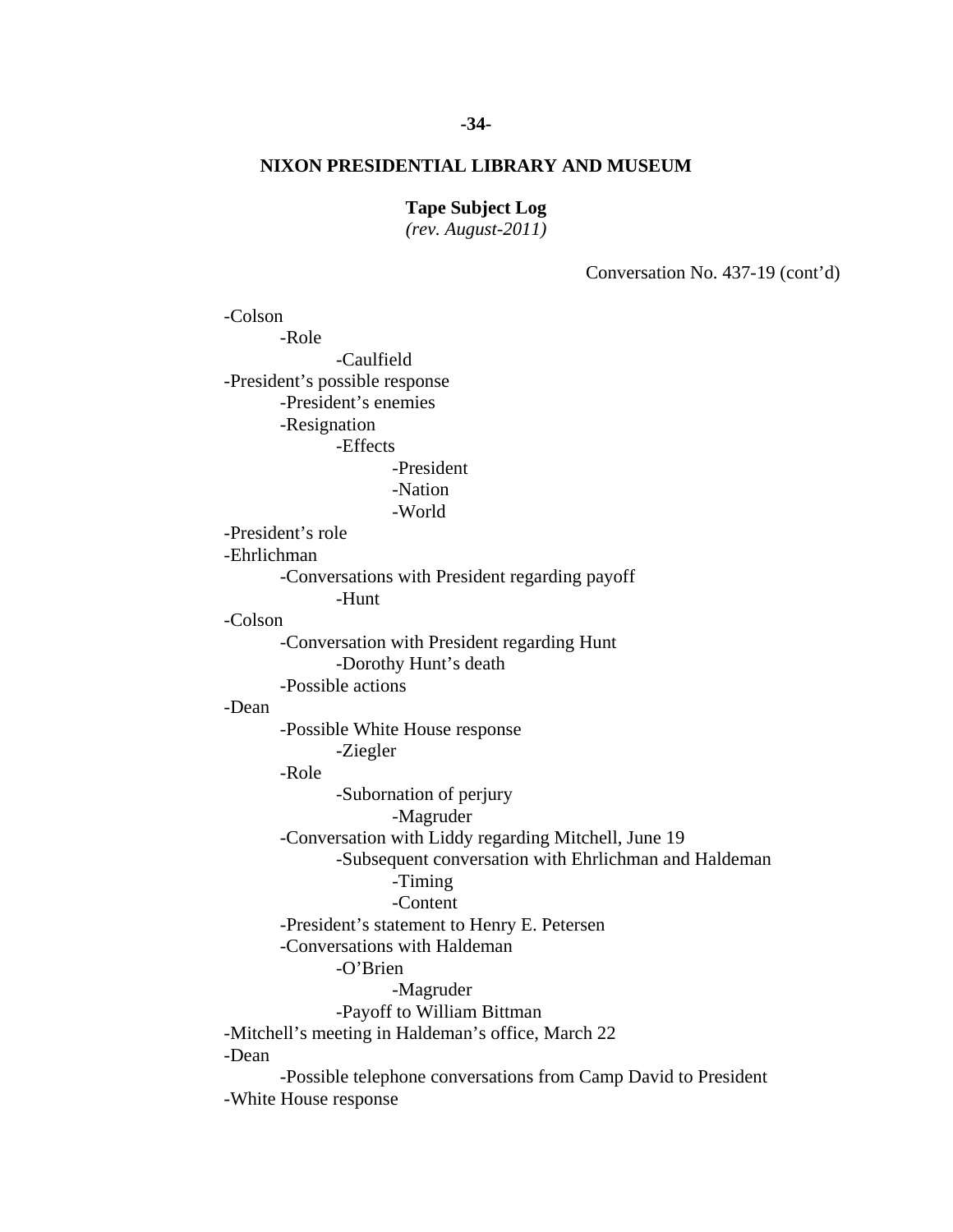### **Tape Subject Log**

*(rev. August-2011)* 

Conversation No. 437-19 (cont'd)

 -Payoff to William Bittman -Colson -Role -Caulfield -President's possible response -President's enemies -Resignation -Effects -President -Nation -World -President's role -Ehrlichman -Conversations with President regarding payoff -Hunt -Colson -Conversation with President regarding Hunt -Dorothy Hunt's death -Possible actions -Dean -Possible White House response -Ziegler -Role -Subornation of perjury -Magruder -Conversation with Liddy regarding Mitchell, June 19 -Subsequent conversation with Ehrlichman and Haldeman -Timing -Content -President's statement to Henry E. Petersen -Conversations with Haldeman -O'Brien -Magruder -Mitchell's meeting in Haldeman's office, March 22 -Dean -Possible telephone conversations from Camp David to President -White House response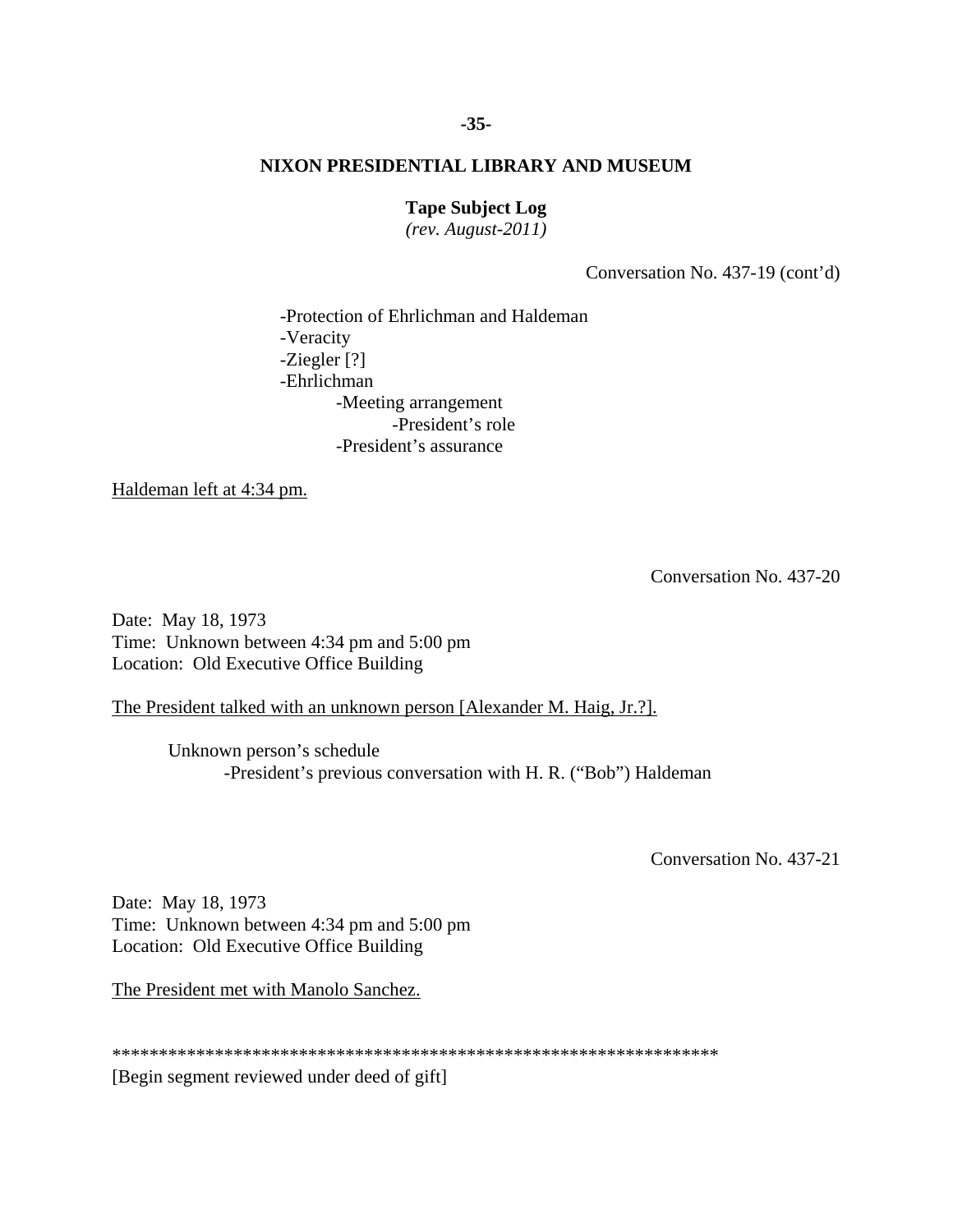#### **Tape Subject Log**

*(rev. August-2011)* 

Conversation No. 437-19 (cont'd)

-Protection of Ehrlichman and Haldeman -Veracity -Ziegler [?] -Ehrlichman -Meeting arrangement -President's role -President's assurance

Haldeman left at 4:34 pm.

Conversation No. 437-20

Date: May 18, 1973 Time: Unknown between 4:34 pm and 5:00 pm Location: Old Executive Office Building

The President talked with an unknown person [Alexander M. Haig, Jr.?].

Unknown person's schedule -President's previous conversation with H. R. ("Bob") Haldeman

Conversation No. 437-21

Date: May 18, 1973 Time: Unknown between 4:34 pm and 5:00 pm Location: Old Executive Office Building

The President met with Manolo Sanchez.

\*\*\*\*\*\*\*\*\*\*\*\*\*\*\*\*\*\*\*\*\*\*\*\*\*\*\*\*\*\*\*\*\*\*\*\*\*\*\*\*\*\*\*\*\*\*\*\*\*\*\*\*\*\*\*\*\*\*\*\*\*\*\*\*\* [Begin segment reviewed under deed of gift]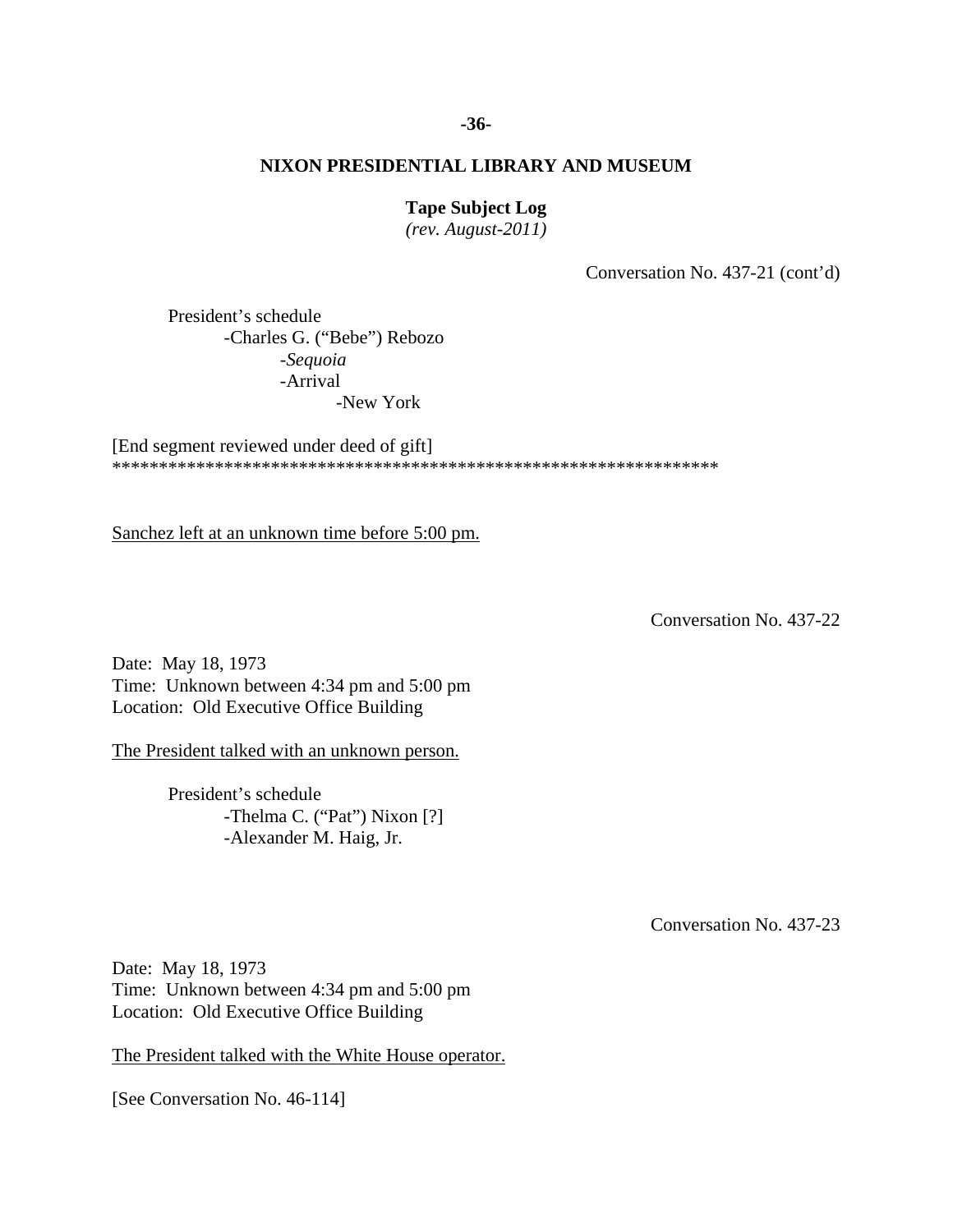#### **-36-**

### **NIXON PRESIDENTIAL LIBRARY AND MUSEUM**

#### **Tape Subject Log**

*(rev. August-2011)* 

Conversation No. 437-21 (cont'd)

 -New York President's schedule -Charles G. ("Bebe") Rebozo -*Sequoia* -Arrival

[End segment reviewed under deed of gift] \*\*\*\*\*\*\*\*\*\*\*\*\*\*\*\*\*\*\*\*\*\*\*\*\*\*\*\*\*\*\*\*\*\*\*\*\*\*\*\*\*\*\*\*\*\*\*\*\*\*\*\*\*\*\*\*\*\*\*\*\*\*\*\*\*

Sanchez left at an unknown time before 5:00 pm.

Conversation No. 437-22

Date: May 18, 1973 Time: Unknown between 4:34 pm and 5:00 pm Location: Old Executive Office Building

The President talked with an unknown person.

 President's schedule -Thelma C. ("Pat") Nixon [?] -Alexander M. Haig, Jr.

Conversation No. 437-23

Date: May 18, 1973 Time: Unknown between 4:34 pm and 5:00 pm Location: Old Executive Office Building

The President talked with the White House operator.

[See Conversation No. 46-114]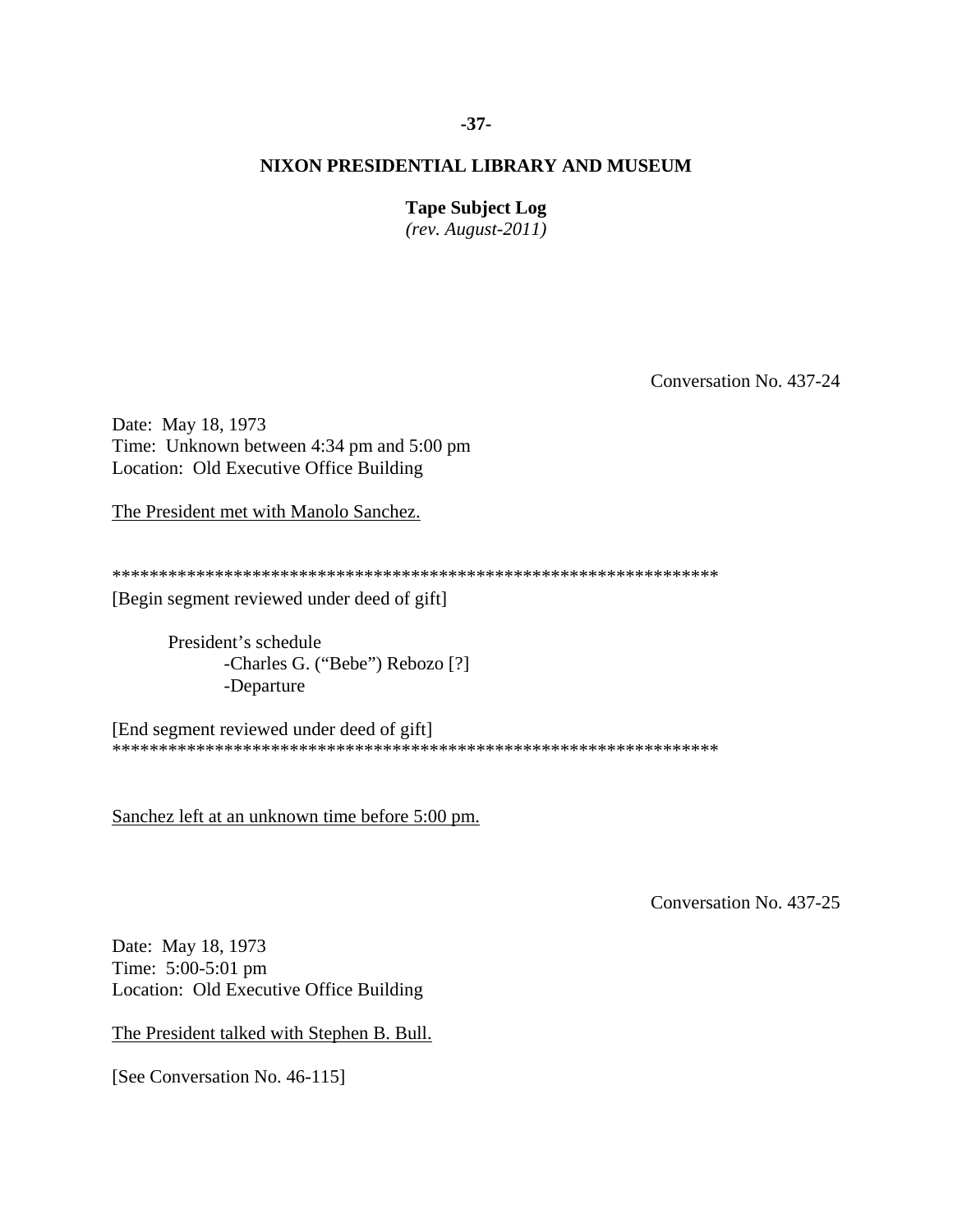## **-37-**

### **NIXON PRESIDENTIAL LIBRARY AND MUSEUM**

#### **Tape Subject Log**

*(rev. August-2011)* 

Conversation No. 437-24

Date: May 18, 1973 Time: Unknown between 4:34 pm and 5:00 pm Location: Old Executive Office Building

The President met with Manolo Sanchez.

\*\*\*\*\*\*\*\*\*\*\*\*\*\*\*\*\*\*\*\*\*\*\*\*\*\*\*\*\*\*\*\*\*\*\*\*\*\*\*\*\*\*\*\*\*\*\*\*\*\*\*\*\*\*\*\*\*\*\*\*\*\*\*\*\*

[Begin segment reviewed under deed of gift]

 President's schedule -Charles G. ("Bebe") Rebozo [?] -Departure

[End segment reviewed under deed of gift] \*\*\*\*\*\*\*\*\*\*\*\*\*\*\*\*\*\*\*\*\*\*\*\*\*\*\*\*\*\*\*\*\*\*\*\*\*\*\*\*\*\*\*\*\*\*\*\*\*\*\*\*\*\*\*\*\*\*\*\*\*\*\*\*\*

Sanchez left at an unknown time before 5:00 pm.

Conversation No. 437-25

Date: May 18, 1973 Time: 5:00-5:01 pm Location: Old Executive Office Building

The President talked with Stephen B. Bull.

[See Conversation No. 46-115]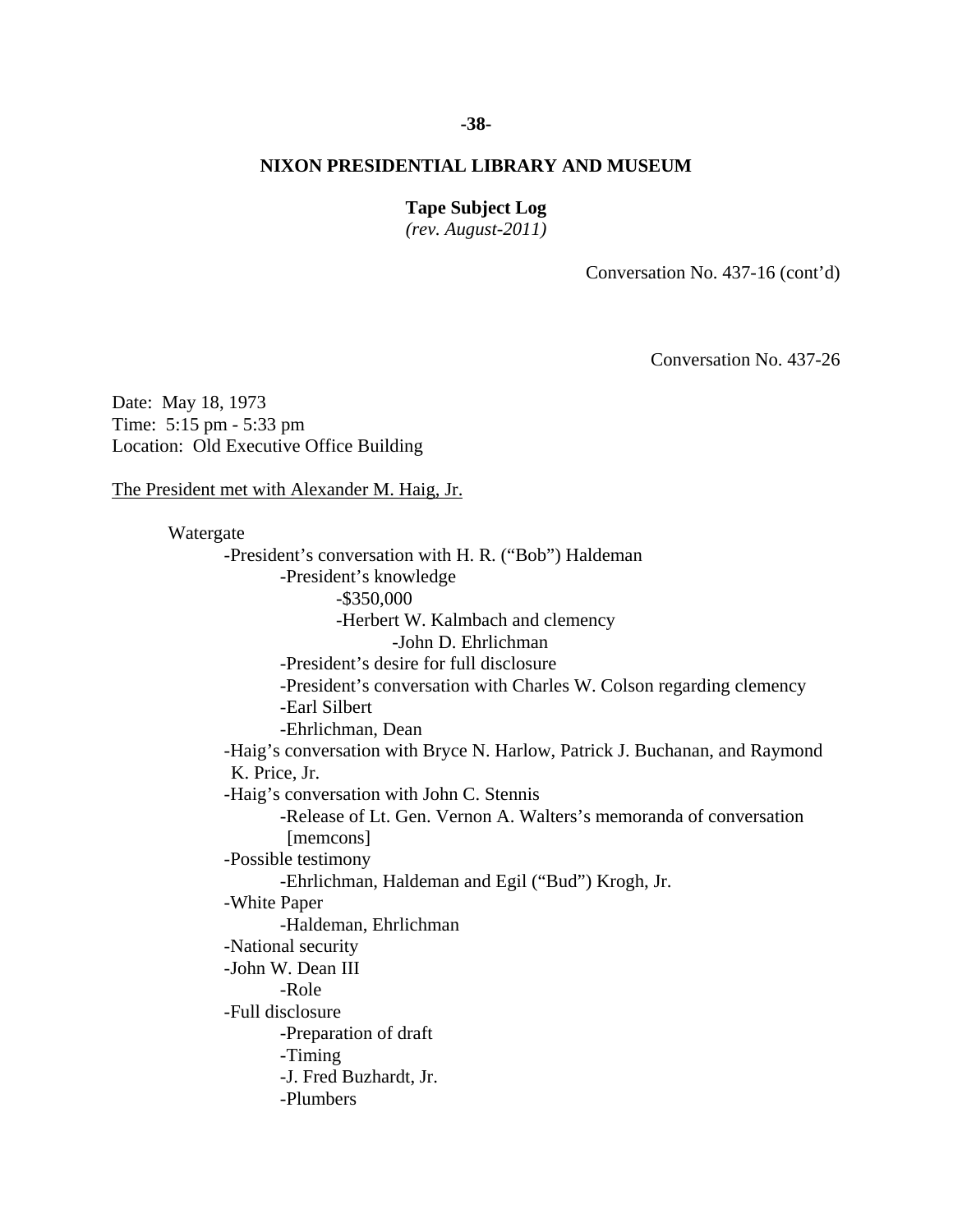#### **-38-**

#### **NIXON PRESIDENTIAL LIBRARY AND MUSEUM**

#### **Tape Subject Log**

*(rev. August-2011)* 

Conversation No. 437-16 (cont'd)

Conversation No. 437-26

Date: May 18, 1973 Time: 5:15 pm - 5:33 pm Location: Old Executive Office Building

The President met with Alexander M. Haig, Jr.

 Watergate -President's conversation with H. R. ("Bob") Haldeman -President's knowledge -\$350,000 -Herbert W. Kalmbach and clemency

 -John D. Ehrlichman -President's desire for full disclosure

-President's conversation with Charles W. Colson regarding clemency

-Earl Silbert

-Ehrlichman, Dean

-Haig's conversation with Bryce N. Harlow, Patrick J. Buchanan, and Raymond K. Price, Jr.

-Haig's conversation with John C. Stennis

-Release of Lt. Gen. Vernon A. Walters's memoranda of conversation [memcons]

-Possible testimony

-Ehrlichman, Haldeman and Egil ("Bud") Krogh, Jr.

-White Paper

-Haldeman, Ehrlichman

-National security

-John W. Dean III

-Role

-Full disclosure

-Preparation of draft

-Timing

-J. Fred Buzhardt, Jr.

-Plumbers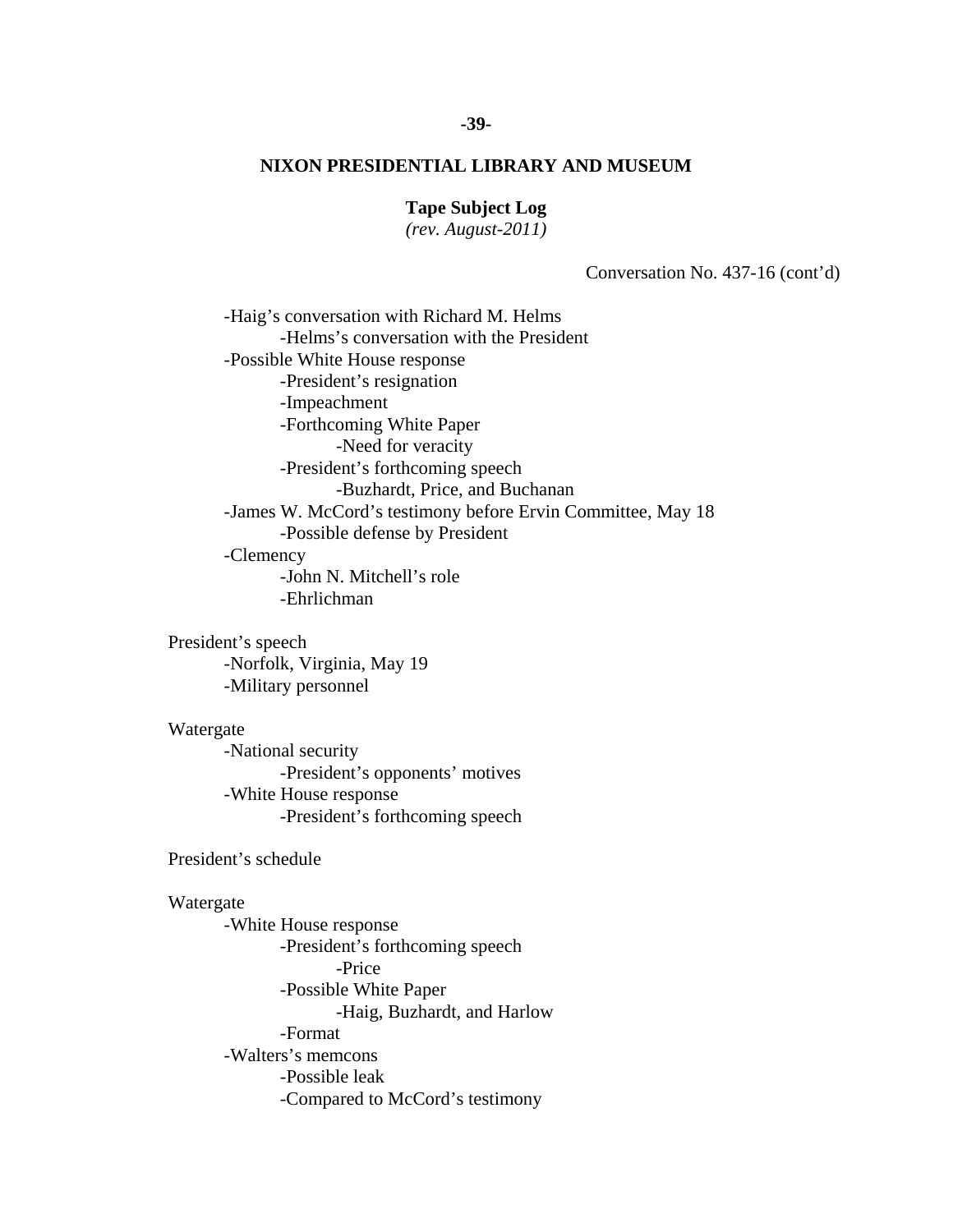#### **Tape Subject Log**

*(rev. August-2011)* 

Conversation No. 437-16 (cont'd)

-Haig's conversation with Richard M. Helms -Helms's conversation with the President -Possible White House response -President's resignation -Impeachment -Forthcoming White Paper -Need for veracity -President's forthcoming speech -Buzhardt, Price, and Buchanan -James W. McCord's testimony before Ervin Committee, May 18 -Possible defense by President -Clemency -John N. Mitchell's role -Ehrlichman

 President's speech -Norfolk, Virginia, May 19 -Military personnel

#### Watergate

 -National security -President's opponents' motives -White House response -President's forthcoming speech

President's schedule

## Watergate

 -White House response -President's forthcoming speech -Price -Possible White Paper -Haig, Buzhardt, and Harlow -Format -Walters's memcons -Possible leak -Compared to McCord's testimony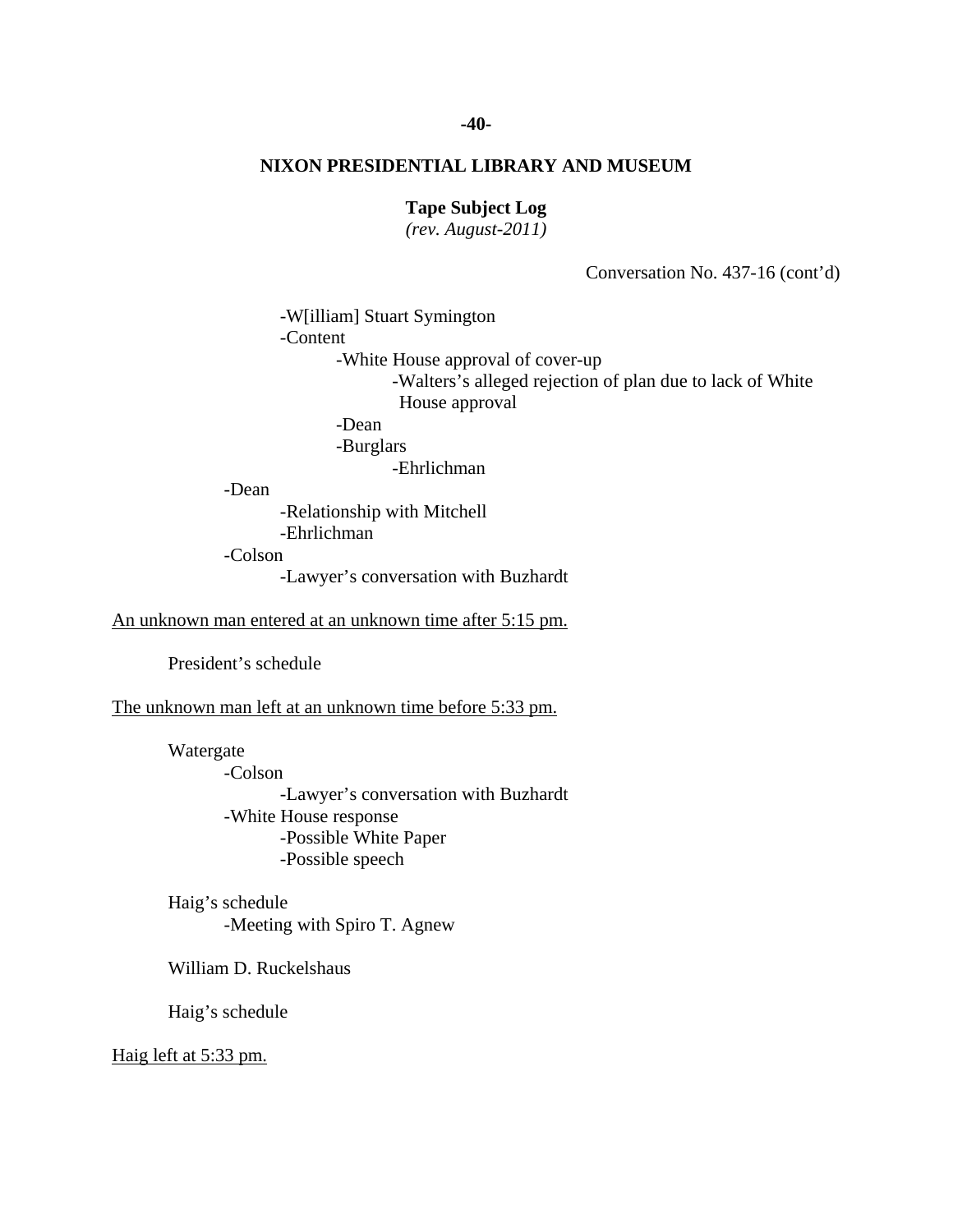## **-40-**

## **NIXON PRESIDENTIAL LIBRARY AND MUSEUM**

### **Tape Subject Log**

*(rev. August-2011)* 

Conversation No. 437-16 (cont'd)

 -W[illiam] Stuart Symington -Content -White House approval of cover-up -Walters's alleged rejection of plan due to lack of White House approval -Dean -Burglars -Ehrlichman

-Dean

 -Relationship with Mitchell -Ehrlichman -Colson -Lawyer's conversation with Buzhardt

An unknown man entered at an unknown time after 5:15 pm.

President's schedule

The unknown man left at an unknown time before 5:33 pm.

 Watergate -Colson -Lawyer's conversation with Buzhardt -White House response -Possible White Paper -Possible speech

 Haig's schedule -Meeting with Spiro T. Agnew

William D. Ruckelshaus

Haig's schedule

Haig left at 5:33 pm.